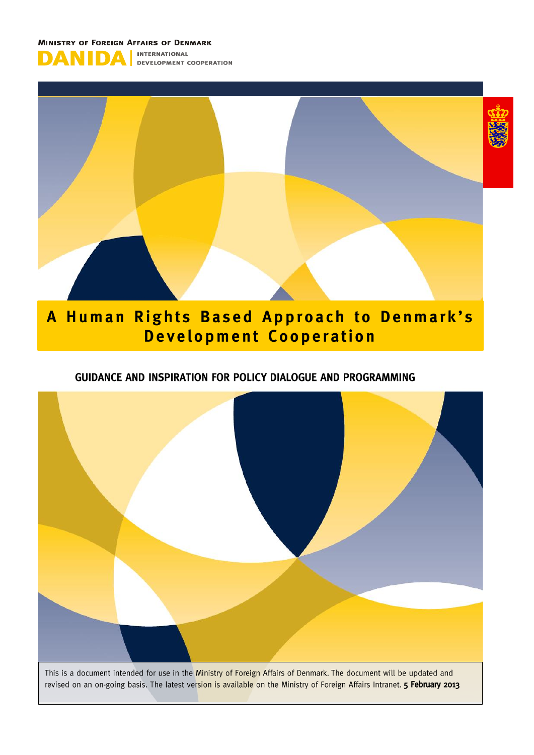



#### A Human Rights Based Approach to Denmark's **Development Cooperation**

#### GUIDANCE AND INSPIRATION FOR POLICY DIALOGUE AND PROGRAMMING



revised on an on-going basis. The latest version is available on the Ministry of Foreign Affairs Intranet. 5 February 2013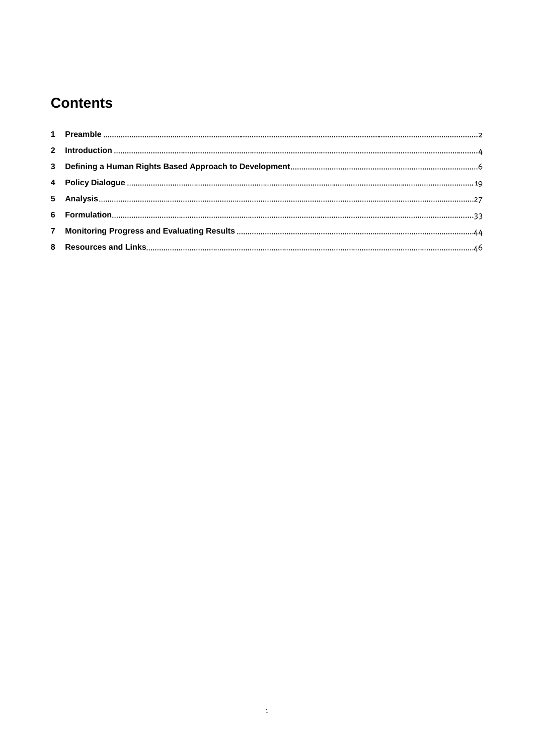#### **Contents**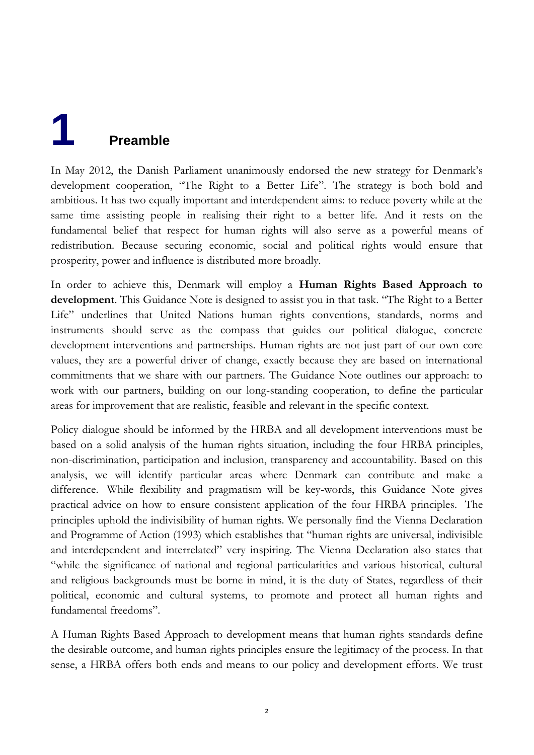## <span id="page-2-0"></span>**1 Preamble**

In May 2012, the Danish Parliament unanimously endorsed the new strategy for Denmark's development cooperation, "The Right to a Better Life". The strategy is both bold and ambitious. It has two equally important and interdependent aims: to reduce poverty while at the same time assisting people in realising their right to a better life. And it rests on the fundamental belief that respect for human rights will also serve as a powerful means of redistribution. Because securing economic, social and political rights would ensure that prosperity, power and influence is distributed more broadly.

In order to achieve this, Denmark will employ a **Human Rights Based Approach to development**. This Guidance Note is designed to assist you in that task. "The Right to a Better Life" underlines that United Nations human rights conventions, standards, norms and instruments should serve as the compass that guides our political dialogue, concrete development interventions and partnerships. Human rights are not just part of our own core values, they are a powerful driver of change, exactly because they are based on international commitments that we share with our partners. The Guidance Note outlines our approach: to work with our partners, building on our long-standing cooperation, to define the particular areas for improvement that are realistic, feasible and relevant in the specific context.

Policy dialogue should be informed by the HRBA and all development interventions must be based on a solid analysis of the human rights situation, including the four HRBA principles, non-discrimination, participation and inclusion, transparency and accountability. Based on this analysis, we will identify particular areas where Denmark can contribute and make a difference. While flexibility and pragmatism will be key-words, this Guidance Note gives practical advice on how to ensure consistent application of the four HRBA principles. The principles uphold the indivisibility of human rights. We personally find the Vienna Declaration and Programme of Action (1993) which establishes that "human rights are universal, indivisible and interdependent and interrelated" very inspiring. The Vienna Declaration also states that "while the significance of national and regional particularities and various historical, cultural and religious backgrounds must be borne in mind, it is the duty of States, regardless of their political, economic and cultural systems, to promote and protect all human rights and fundamental freedoms".

A Human Rights Based Approach to development means that human rights standards define the desirable outcome, and human rights principles ensure the legitimacy of the process. In that sense, a HRBA offers both ends and means to our policy and development efforts. We trust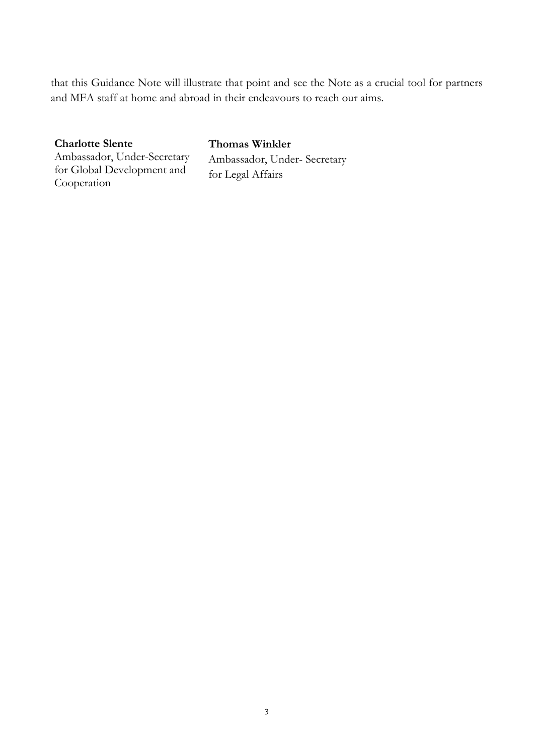that this Guidance Note will illustrate that point and see the Note as a crucial tool for partners and MFA staff at home and abroad in their endeavours to reach our aims.

#### **Charlotte Slente**

Ambassador, Under-Secretary for Global Development and Cooperation

#### i **Thomas Winkler** Ambassador, Under- Secretary for Legal Affairs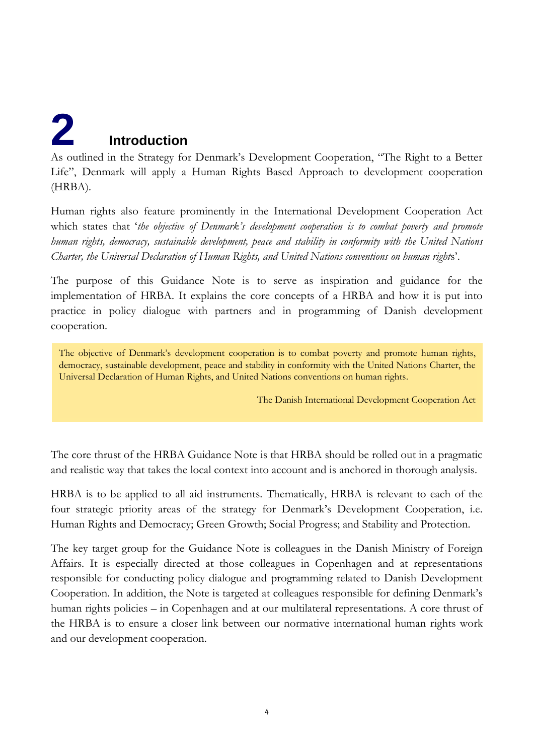# <span id="page-4-0"></span>**2 Introduction**

As outlined in the Strategy for Denmark's Development Cooperation, "The Right to a Better Life", Denmark will apply a Human Rights Based Approach to development cooperation (HRBA).

Human rights also feature prominently in the International Development Cooperation Act which states that '*the objective of Denmark's development cooperation is to combat poverty and promote human rights, democracy, sustainable development, peace and stability in conformity with the United Nations Charter, the Universal Declaration of Human Rights, and United Nations conventions on human right*s'.

The purpose of this Guidance Note is to serve as inspiration and guidance for the implementation of HRBA. It explains the core concepts of a HRBA and how it is put into practice in policy dialogue with partners and in programming of Danish development cooperation.

The objective of Denmark's development cooperation is to combat poverty and promote human rights, democracy, sustainable development, peace and stability in conformity with the United Nations Charter, the Universal Declaration of Human Rights, and United Nations conventions on human rights.

The Danish International Development Cooperation Act

The core thrust of the HRBA Guidance Note is that HRBA should be rolled out in a pragmatic and realistic way that takes the local context into account and is anchored in thorough analysis.

HRBA is to be applied to all aid instruments. Thematically, HRBA is relevant to each of the four strategic priority areas of the strategy for Denmark's Development Cooperation, i.e. Human Rights and Democracy; Green Growth; Social Progress; and Stability and Protection.

The key target group for the Guidance Note is colleagues in the Danish Ministry of Foreign Affairs. It is especially directed at those colleagues in Copenhagen and at representations responsible for conducting policy dialogue and programming related to Danish Development Cooperation. In addition, the Note is targeted at colleagues responsible for defining Denmark's human rights policies – in Copenhagen and at our multilateral representations. A core thrust of the HRBA is to ensure a closer link between our normative international human rights work and our development cooperation.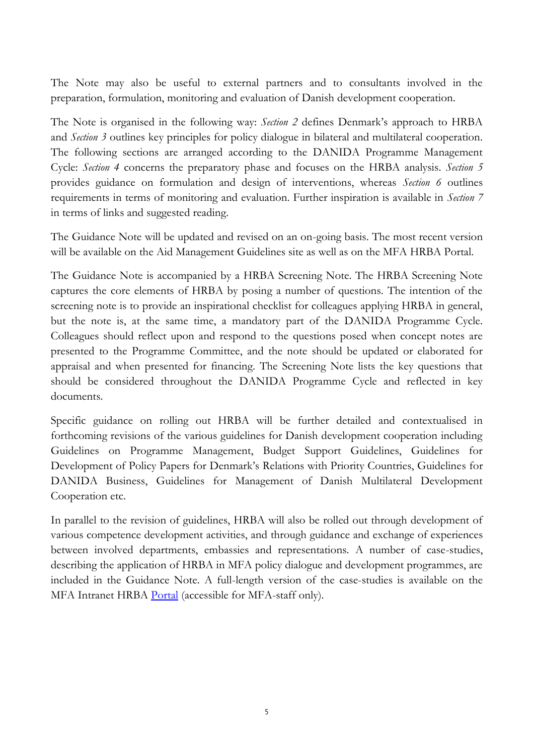The Note may also be useful to external partners and to consultants involved in the preparation, formulation, monitoring and evaluation of Danish development cooperation.

The Note is organised in the following way: *Section 2* defines Denmark's approach to HRBA and *Section 3* outlines key principles for policy dialogue in bilateral and multilateral cooperation. The following sections are arranged according to the DANIDA Programme Management Cycle: *Section 4* concerns the preparatory phase and focuses on the HRBA analysis. *Section 5* provides guidance on formulation and design of interventions, whereas *Section 6* outlines requirements in terms of monitoring and evaluation. Further inspiration is available in *Section 7* in terms of links and suggested reading.

The Guidance Note will be updated and revised on an on-going basis. The most recent version will be available on the Aid Management Guidelines site as well as on the MFA HRBA Portal.

The Guidance Note is accompanied by a HRBA Screening Note. The HRBA Screening Note captures the core elements of HRBA by posing a number of questions. The intention of the screening note is to provide an inspirational checklist for colleagues applying HRBA in general, but the note is, at the same time, a mandatory part of the DANIDA Programme Cycle. Colleagues should reflect upon and respond to the questions posed when concept notes are presented to the Programme Committee, and the note should be updated or elaborated for appraisal and when presented for financing. The Screening Note lists the key questions that should be considered throughout the DANIDA Programme Cycle and reflected in key documents.

Specific guidance on rolling out HRBA will be further detailed and contextualised in forthcoming revisions of the various guidelines for Danish development cooperation including Guidelines on Programme Management, Budget Support Guidelines, Guidelines for Development of Policy Papers for Denmark's Relations with Priority Countries, Guidelines for DANIDA Business, Guidelines for Management of Danish Multilateral Development Cooperation etc.

In parallel to the revision of guidelines, HRBA will also be rolled out through development of various competence development activities, and through guidance and exchange of experiences between involved departments, embassies and representations. A number of case-studies, describing the application of HRBA in MFA policy dialogue and development programmes, are included in the Guidance Note. A full-length version of the case-studies is available on the MFA Intranet HRBA [Portal](http://intranet/Organisation/O1/O5/Human%20rights%20based%20approach%20to%20development/Sider/Lessons%20Learned.aspx) (accessible for MFA-staff only).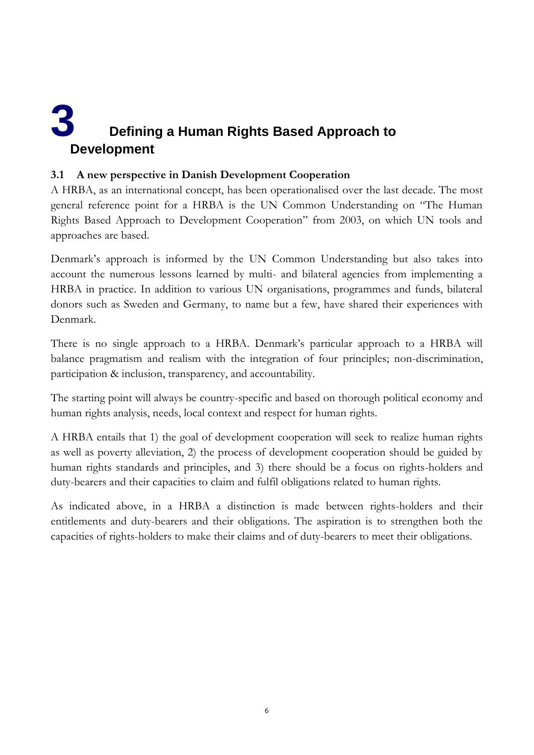### <span id="page-6-0"></span>**3 Defining a Human Rights Based Approach to Development**

#### **3.1 A new perspective in Danish Development Cooperation**

A HRBA, as an international concept, has been operationalised over the last decade. The most general reference point for a HRBA is the UN Common Understanding on "The Human Rights Based Approach to Development Cooperation" from 2003, on which UN tools and approaches are based.

Denmark's approach is informed by the UN Common Understanding but also takes into account the numerous lessons learned by multi- and bilateral agencies from implementing a HRBA in practice. In addition to various UN organisations, programmes and funds, bilateral donors such as Sweden and Germany, to name but a few, have shared their experiences with Denmark.

There is no single approach to a HRBA. Denmark's particular approach to a HRBA will balance pragmatism and realism with the integration of four principles; non-discrimination, participation & inclusion, transparency, and accountability.

The starting point will always be country-specific and based on thorough political economy and human rights analysis, needs, local context and respect for human rights.

A HRBA entails that 1) the goal of development cooperation will seek to realize human rights as well as poverty alleviation, 2) the process of development cooperation should be guided by human rights standards and principles, and 3) there should be a focus on rights-holders and duty-bearers and their capacities to claim and fulfil obligations related to human rights.

As indicated above, in a HRBA a distinction is made between rights-holders and their entitlements and duty-bearers and their obligations. The aspiration is to strengthen both the capacities of rights-holders to make their claims and of duty-bearers to meet their obligations.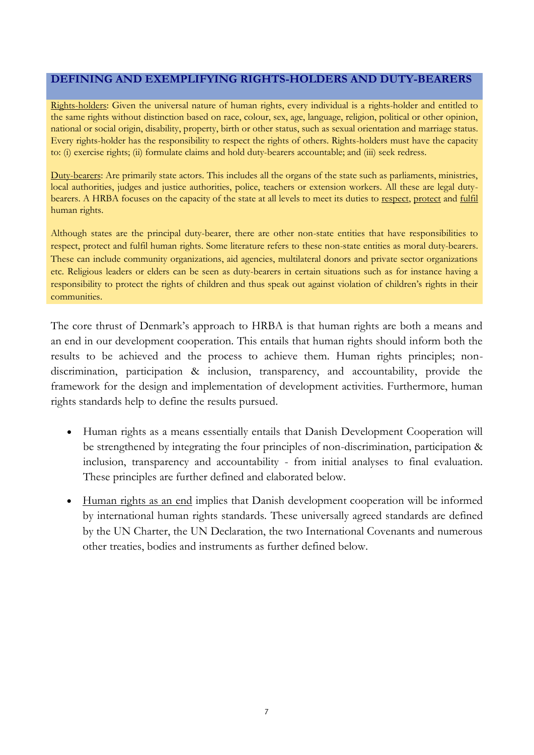#### **DEFINING AND EXEMPLIFYING RIGHTS-HOLDERS AND DUTY-BEARERS**

Rights-holders: Given the universal nature of human rights, every individual is a rights-holder and entitled to the same rights without distinction based on race, colour, sex, age, language, religion, political or other opinion, national or social origin, disability, property, birth or other status, such as sexual orientation and marriage status. Every rights-holder has the responsibility to respect the rights of others. Rights-holders must have the capacity to: (i) exercise rights; (ii) formulate claims and hold duty-bearers accountable; and (iii) seek redress.

Duty-bearers: Are primarily state actors. This includes all the organs of the state such as parliaments, ministries, local authorities, judges and justice authorities, police, teachers or extension workers. All these are legal dutybearers. A HRBA focuses on the capacity of the state at all levels to meet its duties to respect, protect and fulfil human rights.

Although states are the principal duty-bearer, there are other non-state entities that have responsibilities to respect, protect and fulfil human rights. Some literature refers to these non-state entities as moral duty-bearers. These can include community organizations, aid agencies, multilateral donors and private sector organizations etc. Religious leaders or elders can be seen as duty-bearers in certain situations such as for instance having a responsibility to protect the rights of children and thus speak out against violation of children's rights in their communities.

The core thrust of Denmark's approach to HRBA is that human rights are both a means and an end in our development cooperation. This entails that human rights should inform both the results to be achieved and the process to achieve them. Human rights principles; nondiscrimination, participation & inclusion, transparency, and accountability, provide the framework for the design and implementation of development activities. Furthermore, human rights standards help to define the results pursued.

- Human rights as a means essentially entails that Danish Development Cooperation will be strengthened by integrating the four principles of non-discrimination, participation & inclusion, transparency and accountability - from initial analyses to final evaluation. These principles are further defined and elaborated below.
- Human rights as an end implies that Danish development cooperation will be informed by international human rights standards. These universally agreed standards are defined by the UN Charter, the UN Declaration, the two International Covenants and numerous other treaties, bodies and instruments as further defined below.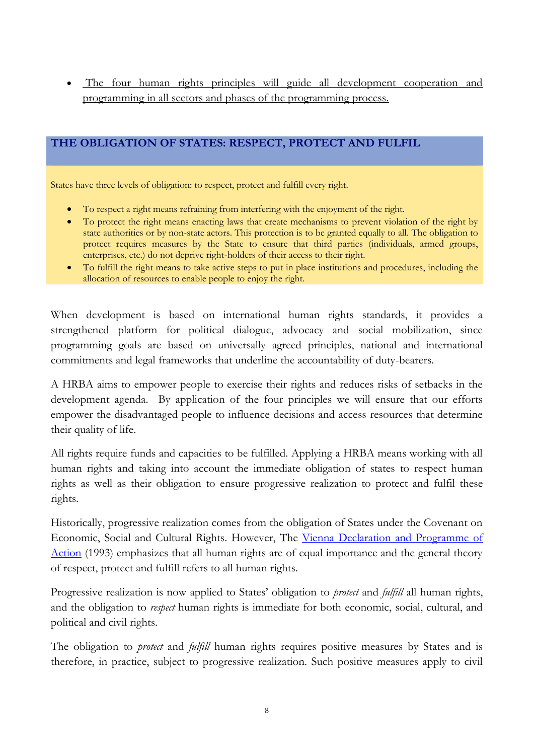The four human rights principles will guide all development cooperation and programming in all sectors and phases of the programming process.

#### **THE OBLIGATION OF STATES: RESPECT, PROTECT AND FULFIL**

States have three levels of obligation: to respect, protect and fulfill every right.

- To respect a right means refraining from interfering with the enjoyment of the right.
- To protect the right means enacting laws that create mechanisms to prevent violation of the right by state authorities or by non-state actors. This protection is to be granted equally to all. The obligation to protect requires measures by the State to ensure that third parties (individuals, armed groups, enterprises, etc.) do not deprive right-holders of their access to their right.
- To fulfill the right means to take active steps to put in place institutions and procedures, including the allocation of resources to enable people to enjoy the right.

When development is based on international human rights standards, it provides a strengthened platform for political dialogue, advocacy and social mobilization, since programming goals are based on universally agreed principles, national and international commitments and legal frameworks that underline the accountability of duty-bearers.

A HRBA aims to empower people to exercise their rights and reduces risks of setbacks in the development agenda. By application of the four principles we will ensure that our efforts empower the disadvantaged people to influence decisions and access resources that determine their quality of life.

All rights require funds and capacities to be fulfilled. Applying a HRBA means working with all human rights and taking into account the immediate obligation of states to respect human rights as well as their obligation to ensure progressive realization to protect and fulfil these rights.

Historically, progressive realization comes from the obligation of States under the Covenant on Economic, Social and Cultural Rights. However, The [Vienna Declaration and Programme of](http://www.unhchr.ch/huridocda/huridoca.nsf/(symbol)/a.conf.157.23.en)  [Action](http://www.unhchr.ch/huridocda/huridoca.nsf/(symbol)/a.conf.157.23.en) (1993) emphasizes that all human rights are of equal importance and the general theory of respect, protect and fulfill refers to all human rights.

Progressive realization is now applied to States' obligation to *protect* and *fulfill* all human rights, and the obligation to *respect* human rights is immediate for both economic, social, cultural, and political and civil rights.

The obligation to *protect* and *fulfill* human rights requires positive measures by States and is therefore, in practice, subject to progressive realization. Such positive measures apply to civil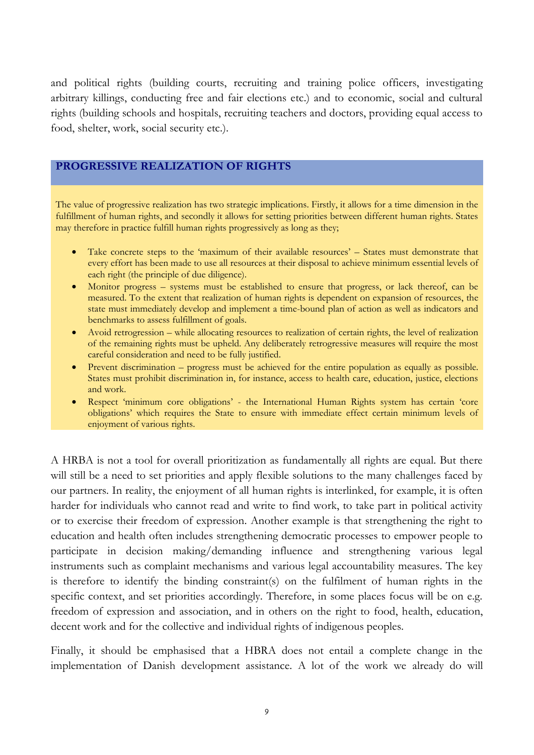and political rights (building courts, recruiting and training police officers, investigating arbitrary killings, conducting free and fair elections etc.) and to economic, social and cultural rights (building schools and hospitals, recruiting teachers and doctors, providing equal access to food, shelter, work, social security etc.).

#### **PROGRESSIVE REALIZATION OF RIGHTS**

The value of progressive realization has two strategic implications. Firstly, it allows for a time dimension in the fulfillment of human rights, and secondly it allows for setting priorities between different human rights. States may therefore in practice fulfill human rights progressively as long as they;

- Take concrete steps to the 'maximum of their available resources' States must demonstrate that every effort has been made to use all resources at their disposal to achieve minimum essential levels of each right (the principle of due diligence).
- Monitor progress systems must be established to ensure that progress, or lack thereof, can be measured. To the extent that realization of human rights is dependent on expansion of resources, the state must immediately develop and implement a time-bound plan of action as well as indicators and benchmarks to assess fulfillment of goals.
- Avoid retrogression while allocating resources to realization of certain rights, the level of realization of the remaining rights must be upheld. Any deliberately retrogressive measures will require the most careful consideration and need to be fully justified.
- Prevent discrimination progress must be achieved for the entire population as equally as possible. States must prohibit discrimination in, for instance, access to health care, education, justice, elections and work.
- Respect 'minimum core obligations' the International Human Rights system has certain 'core obligations' which requires the State to ensure with immediate effect certain minimum levels of enjoyment of various rights.

A HRBA is not a tool for overall prioritization as fundamentally all rights are equal. But there will still be a need to set priorities and apply flexible solutions to the many challenges faced by our partners. In reality, the enjoyment of all human rights is interlinked, for example, it is often harder for individuals who cannot read and write to find work, to take part in political activity or to exercise their freedom of expression. Another example is that strengthening the right to education and health often includes strengthening democratic processes to empower people to participate in decision making/demanding influence and strengthening various legal instruments such as complaint mechanisms and various legal accountability measures. The key is therefore to identify the binding constraint(s) on the fulfilment of human rights in the specific context, and set priorities accordingly. Therefore, in some places focus will be on e.g. freedom of expression and association, and in others on the right to food, health, education, decent work and for the collective and individual rights of indigenous peoples.

Finally, it should be emphasised that a HBRA does not entail a complete change in the implementation of Danish development assistance. A lot of the work we already do will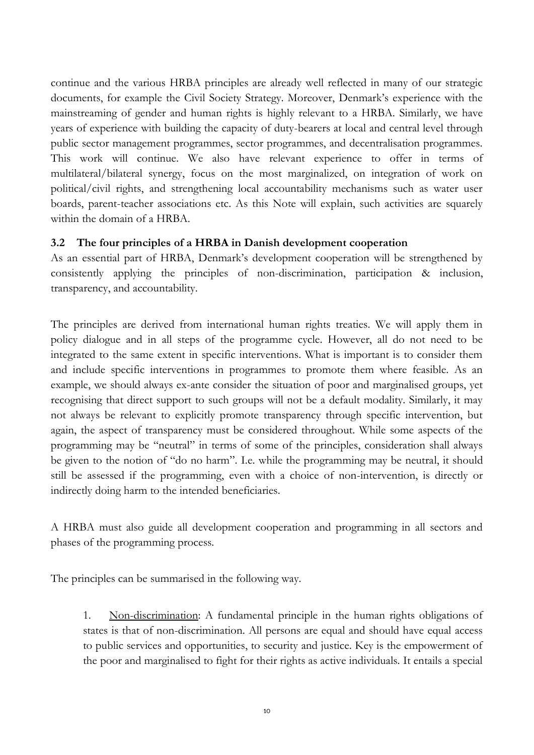continue and the various HRBA principles are already well reflected in many of our strategic documents, for example the Civil Society Strategy. Moreover, Denmark's experience with the mainstreaming of gender and human rights is highly relevant to a HRBA. Similarly, we have years of experience with building the capacity of duty-bearers at local and central level through public sector management programmes, sector programmes, and decentralisation programmes. This work will continue. We also have relevant experience to offer in terms of multilateral/bilateral synergy, focus on the most marginalized, on integration of work on political/civil rights, and strengthening local accountability mechanisms such as water user boards, parent-teacher associations etc. As this Note will explain, such activities are squarely within the domain of a HRBA.

#### **3.2 The four principles of a HRBA in Danish development cooperation**

As an essential part of HRBA, Denmark's development cooperation will be strengthened by consistently applying the principles of non-discrimination, participation & inclusion, transparency, and accountability.

The principles are derived from international human rights treaties. We will apply them in policy dialogue and in all steps of the programme cycle. However, all do not need to be integrated to the same extent in specific interventions. What is important is to consider them and include specific interventions in programmes to promote them where feasible. As an example, we should always ex-ante consider the situation of poor and marginalised groups, yet recognising that direct support to such groups will not be a default modality. Similarly, it may not always be relevant to explicitly promote transparency through specific intervention, but again, the aspect of transparency must be considered throughout. While some aspects of the programming may be "neutral" in terms of some of the principles, consideration shall always be given to the notion of "do no harm". I.e. while the programming may be neutral, it should still be assessed if the programming, even with a choice of non-intervention, is directly or indirectly doing harm to the intended beneficiaries.

A HRBA must also guide all development cooperation and programming in all sectors and phases of the programming process.

The principles can be summarised in the following way.

1. Non-discrimination: A fundamental principle in the human rights obligations of states is that of non-discrimination. All persons are equal and should have equal access to public services and opportunities, to security and justice. Key is the empowerment of the poor and marginalised to fight for their rights as active individuals. It entails a special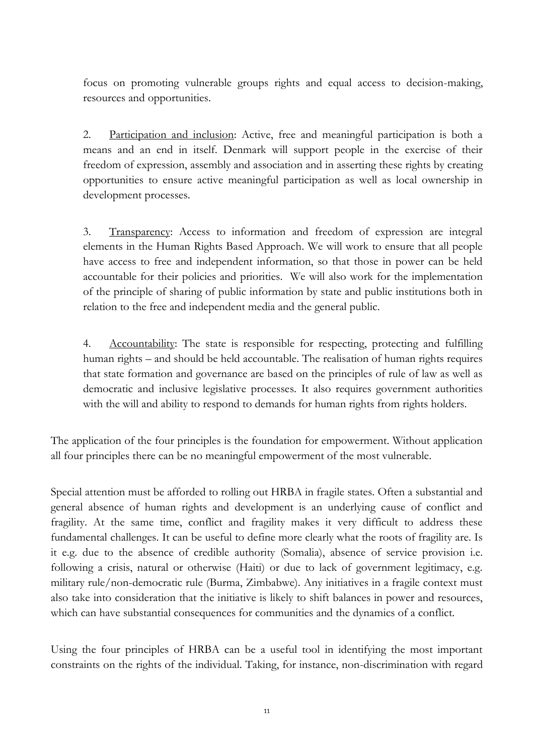focus on promoting vulnerable groups rights and equal access to decision-making, resources and opportunities.

2. Participation and inclusion: Active, free and meaningful participation is both a means and an end in itself. Denmark will support people in the exercise of their freedom of expression, assembly and association and in asserting these rights by creating opportunities to ensure active meaningful participation as well as local ownership in development processes.

3. Transparency: Access to information and freedom of expression are integral elements in the Human Rights Based Approach. We will work to ensure that all people have access to free and independent information, so that those in power can be held accountable for their policies and priorities. We will also work for the implementation of the principle of sharing of public information by state and public institutions both in relation to the free and independent media and the general public.

4. Accountability: The state is responsible for respecting, protecting and fulfilling human rights – and should be held accountable. The realisation of human rights requires that state formation and governance are based on the principles of rule of law as well as democratic and inclusive legislative processes. It also requires government authorities with the will and ability to respond to demands for human rights from rights holders.

The application of the four principles is the foundation for empowerment. Without application all four principles there can be no meaningful empowerment of the most vulnerable.

Special attention must be afforded to rolling out HRBA in fragile states. Often a substantial and general absence of human rights and development is an underlying cause of conflict and fragility. At the same time, conflict and fragility makes it very difficult to address these fundamental challenges. It can be useful to define more clearly what the roots of fragility are. Is it e.g. due to the absence of credible authority (Somalia), absence of service provision i.e. following a crisis, natural or otherwise (Haiti) or due to lack of government legitimacy, e.g. military rule/non-democratic rule (Burma, Zimbabwe). Any initiatives in a fragile context must also take into consideration that the initiative is likely to shift balances in power and resources, which can have substantial consequences for communities and the dynamics of a conflict.

Using the four principles of HRBA can be a useful tool in identifying the most important constraints on the rights of the individual. Taking, for instance, non-discrimination with regard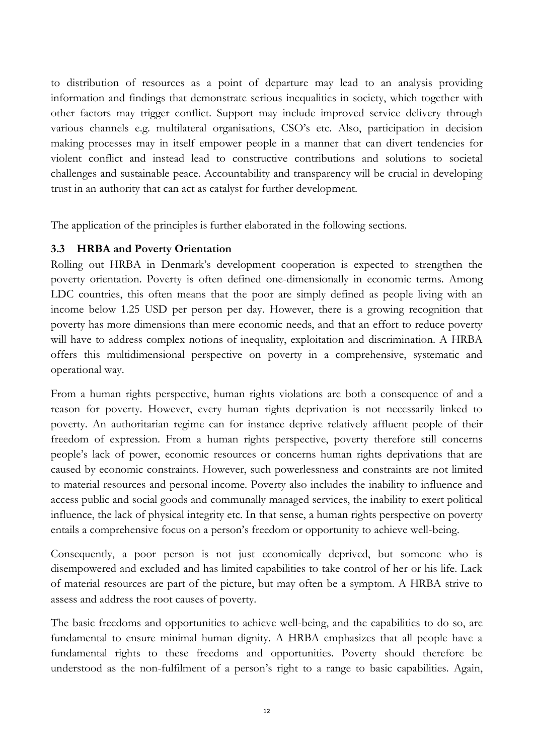to distribution of resources as a point of departure may lead to an analysis providing information and findings that demonstrate serious inequalities in society, which together with other factors may trigger conflict. Support may include improved service delivery through various channels e.g. multilateral organisations, CSO's etc. Also, participation in decision making processes may in itself empower people in a manner that can divert tendencies for violent conflict and instead lead to constructive contributions and solutions to societal challenges and sustainable peace. Accountability and transparency will be crucial in developing trust in an authority that can act as catalyst for further development.

The application of the principles is further elaborated in the following sections.

#### **3.3 HRBA and Poverty Orientation**

Rolling out HRBA in Denmark's development cooperation is expected to strengthen the poverty orientation. Poverty is often defined one-dimensionally in economic terms. Among LDC countries, this often means that the poor are simply defined as people living with an income below 1.25 USD per person per day. However, there is a growing recognition that poverty has more dimensions than mere economic needs, and that an effort to reduce poverty will have to address complex notions of inequality, exploitation and discrimination. A HRBA offers this multidimensional perspective on poverty in a comprehensive, systematic and operational way.

From a human rights perspective, human rights violations are both a consequence of and a reason for poverty. However, every human rights deprivation is not necessarily linked to poverty. An authoritarian regime can for instance deprive relatively affluent people of their freedom of expression. From a human rights perspective, poverty therefore still concerns people's lack of power, economic resources or concerns human rights deprivations that are caused by economic constraints. However, such powerlessness and constraints are not limited to material resources and personal income. Poverty also includes the inability to influence and access public and social goods and communally managed services, the inability to exert political influence, the lack of physical integrity etc. In that sense, a human rights perspective on poverty entails a comprehensive focus on a person's freedom or opportunity to achieve well-being.

Consequently, a poor person is not just economically deprived, but someone who is disempowered and excluded and has limited capabilities to take control of her or his life. Lack of material resources are part of the picture, but may often be a symptom. A HRBA strive to assess and address the root causes of poverty.

The basic freedoms and opportunities to achieve well-being, and the capabilities to do so, are fundamental to ensure minimal human dignity. A HRBA emphasizes that all people have a fundamental rights to these freedoms and opportunities. Poverty should therefore be understood as the non-fulfilment of a person's right to a range to basic capabilities. Again,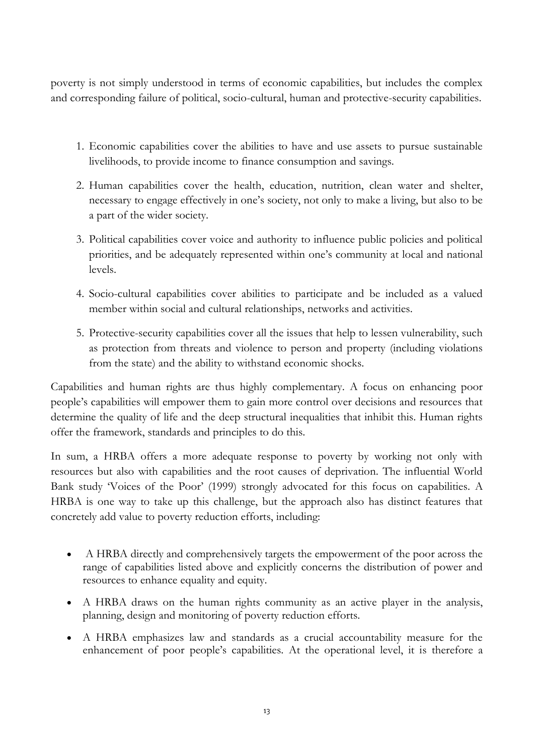poverty is not simply understood in terms of economic capabilities, but includes the complex and corresponding failure of political, socio-cultural, human and protective-security capabilities.

- 1. Economic capabilities cover the abilities to have and use assets to pursue sustainable livelihoods, to provide income to finance consumption and savings.
- 2. Human capabilities cover the health, education, nutrition, clean water and shelter, necessary to engage effectively in one's society, not only to make a living, but also to be a part of the wider society.
- 3. Political capabilities cover voice and authority to influence public policies and political priorities, and be adequately represented within one's community at local and national levels.
- 4. Socio-cultural capabilities cover abilities to participate and be included as a valued member within social and cultural relationships, networks and activities.
- 5. Protective-security capabilities cover all the issues that help to lessen vulnerability, such as protection from threats and violence to person and property (including violations from the state) and the ability to withstand economic shocks.

Capabilities and human rights are thus highly complementary. A focus on enhancing poor people's capabilities will empower them to gain more control over decisions and resources that determine the quality of life and the deep structural inequalities that inhibit this. Human rights offer the framework, standards and principles to do this.

In sum, a HRBA offers a more adequate response to poverty by working not only with resources but also with capabilities and the root causes of deprivation. The influential World Bank study 'Voices of the Poor' (1999) strongly advocated for this focus on capabilities. A HRBA is one way to take up this challenge, but the approach also has distinct features that concretely add value to poverty reduction efforts, including:

- A HRBA directly and comprehensively targets the empowerment of the poor across the range of capabilities listed above and explicitly concerns the distribution of power and resources to enhance equality and equity.
- A HRBA draws on the human rights community as an active player in the analysis, planning, design and monitoring of poverty reduction efforts.
- A HRBA emphasizes law and standards as a crucial accountability measure for the enhancement of poor people's capabilities. At the operational level, it is therefore a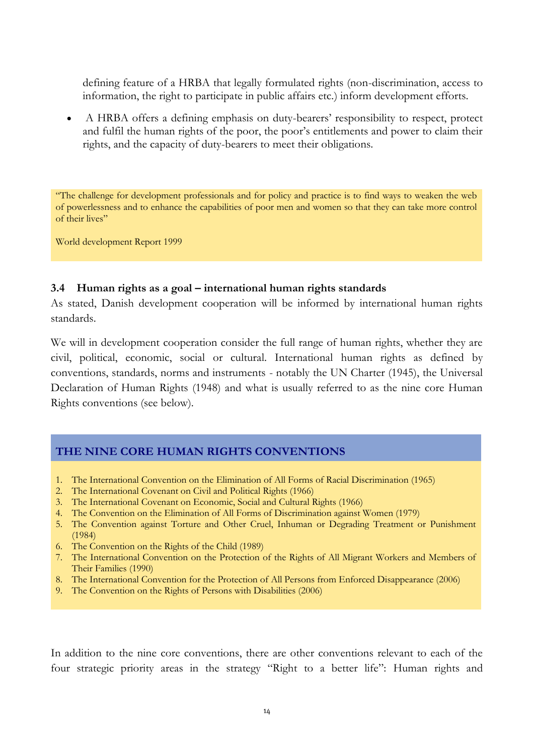defining feature of a HRBA that legally formulated rights (non-discrimination, access to information, the right to participate in public affairs etc.) inform development efforts.

 A HRBA offers a defining emphasis on duty-bearers' responsibility to respect, protect and fulfil the human rights of the poor, the poor's entitlements and power to claim their rights, and the capacity of duty-bearers to meet their obligations.

"The challenge for development professionals and for policy and practice is to find ways to weaken the web of powerlessness and to enhance the capabilities of poor men and women so that they can take more control of their lives"

World development Report 1999

#### **3.4 Human rights as a goal – international human rights standards**

As stated, Danish development cooperation will be informed by international human rights standards.

We will in development cooperation consider the full range of human rights, whether they are civil, political, economic, social or cultural. International human rights as defined by conventions, standards, norms and instruments - notably the UN Charter (1945), the Universal Declaration of Human Rights (1948) and what is usually referred to as the nine core Human Rights conventions (see below).

#### **THE NINE CORE HUMAN RIGHTS CONVENTIONS**

- 1. The International Convention on the Elimination of All Forms of Racial Discrimination (1965)
- 2. The International Covenant on Civil and Political Rights (1966)
- 3. The International Covenant on Economic, Social and Cultural Rights (1966)
- 4. The Convention on the Elimination of All Forms of Discrimination against Women (1979)
- 5. The Convention against Torture and Other Cruel, Inhuman or Degrading Treatment or Punishment (1984)
- 6. The Convention on the Rights of the Child (1989)
- 7. The International Convention on the Protection of the Rights of All Migrant Workers and Members of Their Families (1990)
- 8. The International Convention for the Protection of All Persons from Enforced Disappearance (2006)
- 9. The Convention on the Rights of Persons with Disabilities (2006)

In addition to the nine core conventions, there are other conventions relevant to each of the four strategic priority areas in the strategy "Right to a better life": Human rights and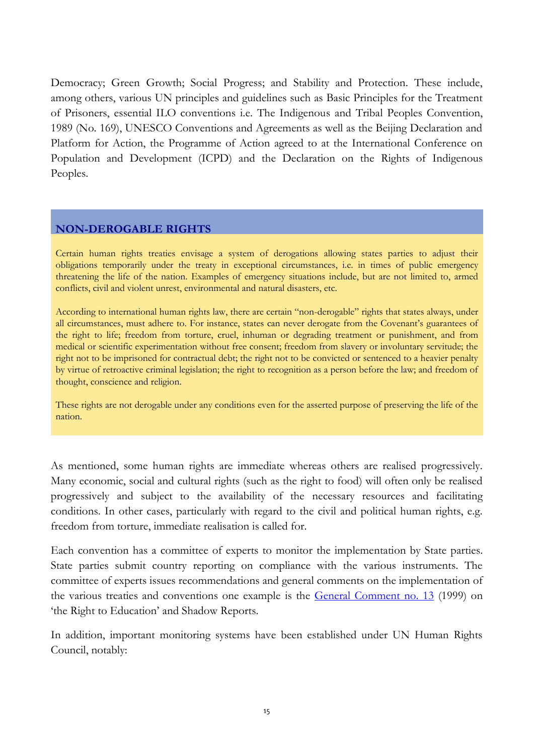Democracy; Green Growth; Social Progress; and Stability and Protection. These include, among others, various UN principles and guidelines such as Basic Principles for the Treatment of Prisoners, essential ILO conventions i.e. The Indigenous and Tribal Peoples Convention, 1989 (No. 169), UNESCO Conventions and Agreements as well as the Beijing Declaration and Platform for Action, the Programme of Action agreed to at the International Conference on Population and Development (ICPD) and the Declaration on the Rights of Indigenous Peoples.

#### **NON-DEROGABLE RIGHTS**

Certain human rights treaties envisage a system of derogations allowing states parties to adjust their obligations temporarily under the treaty in exceptional circumstances, i.e. in times of public emergency threatening the life of the nation. Examples of emergency situations include, but are not limited to, armed conflicts, civil and violent unrest, environmental and natural disasters, etc.

According to international human rights law, there are certain "non-derogable" rights that states always, under all circumstances, must adhere to. For instance, states can never derogate from the Covenant's guarantees of the right to life; freedom from torture, cruel, inhuman or degrading treatment or punishment, and from medical or scientific experimentation without free consent; freedom from slavery or involuntary servitude; the right not to be imprisoned for contractual debt; the right not to be convicted or sentenced to a heavier penalty by virtue of retroactive criminal legislation; the right to recognition as a person before the law; and freedom of thought, conscience and religion.

These rights are not derogable under any conditions even for the asserted purpose of preserving the life of the nation.

As mentioned, some human rights are immediate whereas others are realised progressively. Many economic, social and cultural rights (such as the right to food) will often only be realised progressively and subject to the availability of the necessary resources and facilitating conditions. In other cases, particularly with regard to the civil and political human rights, e.g. freedom from torture, immediate realisation is called for.

Each convention has a committee of experts to monitor the implementation by State parties. State parties submit country reporting on compliance with the various instruments. The committee of experts issues recommendations and general comments on the implementation of the various treaties and conventions one example is the [General Comment no. 13](http://www.unhchr.ch/tbs/doc.nsf/0/ae1a0b126d068e868025683c003c8b3b?Opendocument) (1999) on 'the Right to Education' and Shadow Reports.

In addition, important monitoring systems have been established under UN Human Rights Council, notably: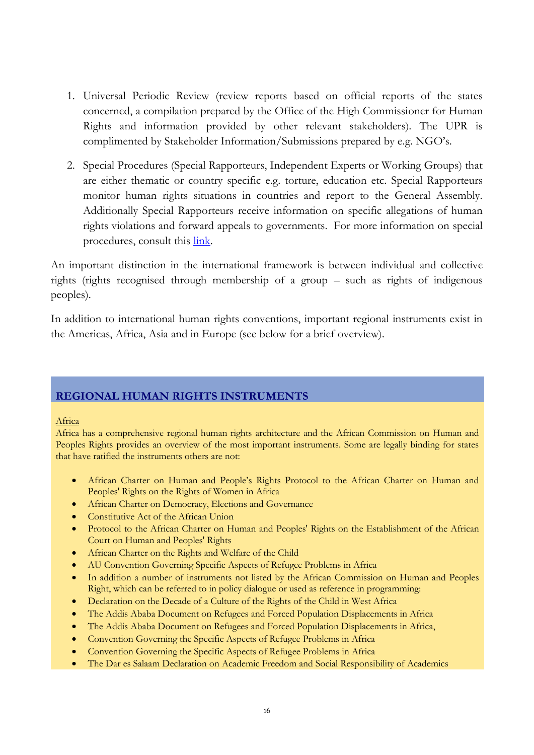- 1. Universal Periodic Review (review reports based on official reports of the states concerned, a compilation prepared by the Office of the High Commissioner for Human Rights and information provided by other relevant stakeholders). The UPR is complimented by Stakeholder Information/Submissions prepared by e.g. NGO's.
- 2. Special Procedures (Special Rapporteurs, Independent Experts or Working Groups) that are either thematic or country specific e.g. torture, education etc. Special Rapporteurs monitor human rights situations in countries and report to the General Assembly. Additionally Special Rapporteurs receive information on specific allegations of human rights violations and forward appeals to governments. For more information on special procedures, consult this [link.](http://www.ohchr.org/EN/HRBodies/SP/Pages/Introduction.aspx)

An important distinction in the international framework is between individual and collective rights (rights recognised through membership of a group – such as rights of indigenous peoples).

In addition to international human rights conventions, important regional instruments exist in the Americas, Africa, Asia and in Europe (see below for a brief overview).

#### **REGIONAL HUMAN RIGHTS INSTRUMENTS**

#### Africa

Africa has a comprehensive regional human rights architecture and the African Commission on Human and Peoples Rights provides an overview of the most important instruments. Some are legally binding for states that have ratified the instruments others are not:

- African Charter on Human and People's Rights Protocol to the African Charter on Human and Peoples' Rights on the Rights of Women in Africa
- **•** African Charter on Democracy, Elections and Governance
- Constitutive Act of the African Union
- Protocol to the African Charter on Human and Peoples' Rights on the Establishment of the African Court on Human and Peoples' Rights
- African Charter on the Rights and Welfare of the Child
- AU Convention Governing Specific Aspects of Refugee Problems in Africa
- In addition a number of instruments not listed by the African Commission on Human and Peoples Right, which can be referred to in policy dialogue or used as reference in programming:
- Declaration on the Decade of a Culture of the Rights of the Child in West Africa
- The Addis Ababa Document on Refugees and Forced Population Displacements in Africa
- The Addis Ababa Document on Refugees and Forced Population Displacements in Africa,
- Convention Governing the Specific Aspects of Refugee Problems in Africa
- Convention Governing the Specific Aspects of Refugee Problems in Africa
- The Dar es Salaam Declaration on Academic Freedom and Social Responsibility of Academics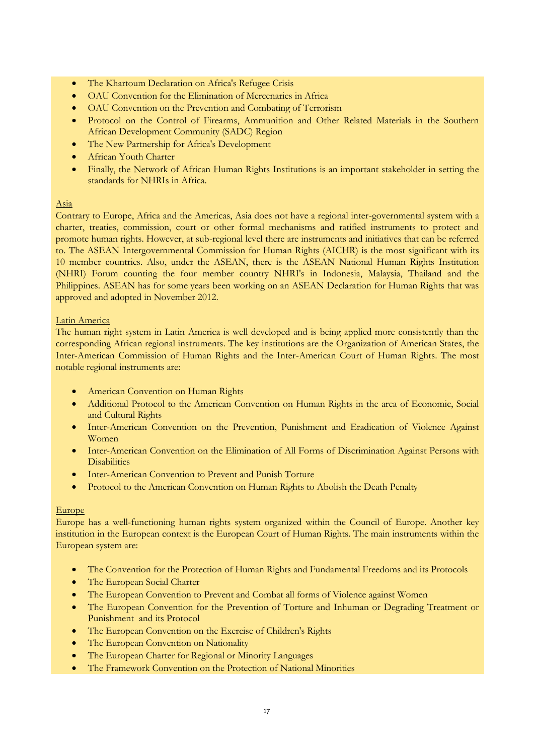- The Khartoum Declaration on Africa's Refugee Crisis
- OAU Convention for the Elimination of Mercenaries in Africa
- OAU Convention on the Prevention and Combating of Terrorism
- Protocol on the Control of Firearms, Ammunition and Other Related Materials in the Southern African Development Community (SADC) Region
- The New Partnership for Africa's Development
- African Youth Charter
- Finally, the Network of African Human Rights Institutions is an important stakeholder in setting the standards for NHRIs in Africa.

#### Asia

Contrary to Europe, Africa and the Americas, Asia does not have a regional inter-governmental system with a charter, treaties, commission, court or other formal mechanisms and ratified instruments to protect and promote human rights. However, at sub-regional level there are instruments and initiatives that can be referred to. The ASEAN Intergovernmental Commission for Human Rights (AICHR) is the most significant with its 10 member countries. Also, under the ASEAN, there is the ASEAN National Human Rights Institution (NHRI) Forum counting the four member country NHRI's in Indonesia, Malaysia, Thailand and the Philippines. ASEAN has for some years been working on an ASEAN Declaration for Human Rights that was approved and adopted in November 2012.

#### Latin America

The human right system in Latin America is well developed and is being applied more consistently than the corresponding African regional instruments. The key institutions are the Organization of American States, the Inter-American Commission of Human Rights and the Inter-American Court of Human Rights. The most notable regional instruments are:

- **•** American Convention on Human Rights
- Additional Protocol to the American Convention on Human Rights in the area of Economic, Social and Cultural Rights
- Inter-American Convention on the Prevention, Punishment and Eradication of Violence Against Women
- Inter-American Convention on the Elimination of All Forms of Discrimination Against Persons with **Disabilities**
- Inter-American Convention to Prevent and Punish Torture
- Protocol to the American Convention on Human Rights to Abolish the Death Penalty

#### Europe

Europe has a well-functioning human rights system organized within the Council of Europe. Another key institution in the European context is the European Court of Human Rights. The main instruments within the European system are:

- The Convention for the Protection of Human Rights and Fundamental Freedoms and its Protocols
- The European Social Charter
- The European Convention to Prevent and Combat all forms of Violence against Women
- The European Convention for the Prevention of Torture and Inhuman or Degrading Treatment or Punishment and its Protocol
- The European Convention on the Exercise of Children's Rights
- The European Convention on Nationality
- The European Charter for Regional or Minority Languages
- The Framework Convention on the Protection of National Minorities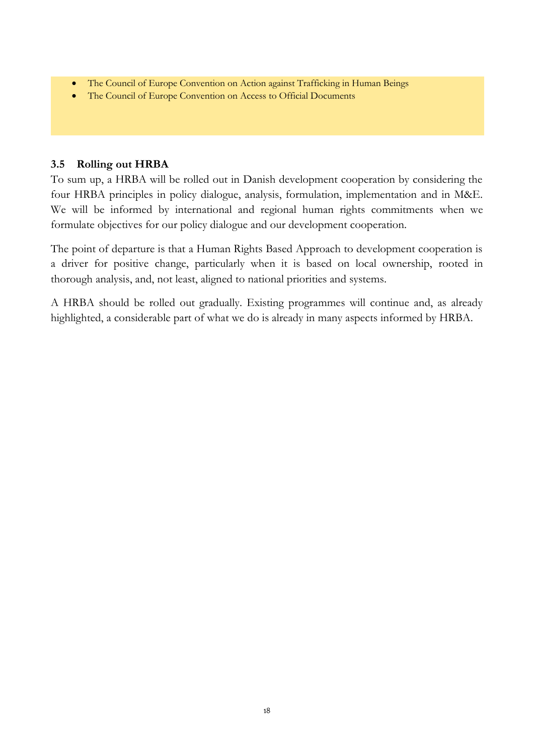- The Council of Europe Convention on Action against Trafficking in Human Beings
- The Council of Europe Convention on Access to Official Documents

#### **3.5 Rolling out HRBA**

To sum up, a HRBA will be rolled out in Danish development cooperation by considering the four HRBA principles in policy dialogue, analysis, formulation, implementation and in M&E. We will be informed by international and regional human rights commitments when we formulate objectives for our policy dialogue and our development cooperation.

The point of departure is that a Human Rights Based Approach to development cooperation is a driver for positive change, particularly when it is based on local ownership, rooted in thorough analysis, and, not least, aligned to national priorities and systems.

A HRBA should be rolled out gradually. Existing programmes will continue and, as already highlighted, a considerable part of what we do is already in many aspects informed by HRBA.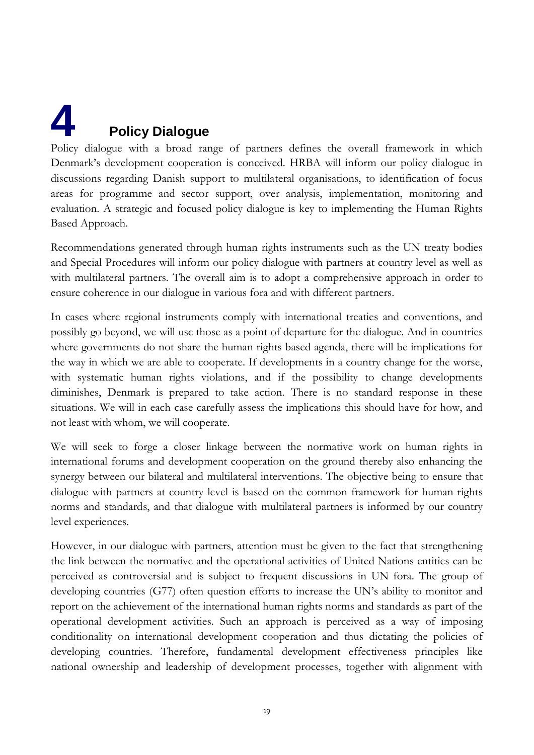# <span id="page-19-0"></span>**4 Policy Dialogue**

Policy dialogue with a broad range of partners defines the overall framework in which Denmark's development cooperation is conceived. HRBA will inform our policy dialogue in discussions regarding Danish support to multilateral organisations, to identification of focus areas for programme and sector support, over analysis, implementation, monitoring and evaluation. A strategic and focused policy dialogue is key to implementing the Human Rights Based Approach.

Recommendations generated through human rights instruments such as the UN treaty bodies and Special Procedures will inform our policy dialogue with partners at country level as well as with multilateral partners. The overall aim is to adopt a comprehensive approach in order to ensure coherence in our dialogue in various fora and with different partners.

In cases where regional instruments comply with international treaties and conventions, and possibly go beyond, we will use those as a point of departure for the dialogue. And in countries where governments do not share the human rights based agenda, there will be implications for the way in which we are able to cooperate. If developments in a country change for the worse, with systematic human rights violations, and if the possibility to change developments diminishes, Denmark is prepared to take action. There is no standard response in these situations. We will in each case carefully assess the implications this should have for how, and not least with whom, we will cooperate.

We will seek to forge a closer linkage between the normative work on human rights in international forums and development cooperation on the ground thereby also enhancing the synergy between our bilateral and multilateral interventions. The objective being to ensure that dialogue with partners at country level is based on the common framework for human rights norms and standards, and that dialogue with multilateral partners is informed by our country level experiences.

However, in our dialogue with partners, attention must be given to the fact that strengthening the link between the normative and the operational activities of United Nations entities can be perceived as controversial and is subject to frequent discussions in UN fora. The group of developing countries (G77) often question efforts to increase the UN's ability to monitor and report on the achievement of the international human rights norms and standards as part of the operational development activities. Such an approach is perceived as a way of imposing conditionality on international development cooperation and thus dictating the policies of developing countries. Therefore, fundamental development effectiveness principles like national ownership and leadership of development processes, together with alignment with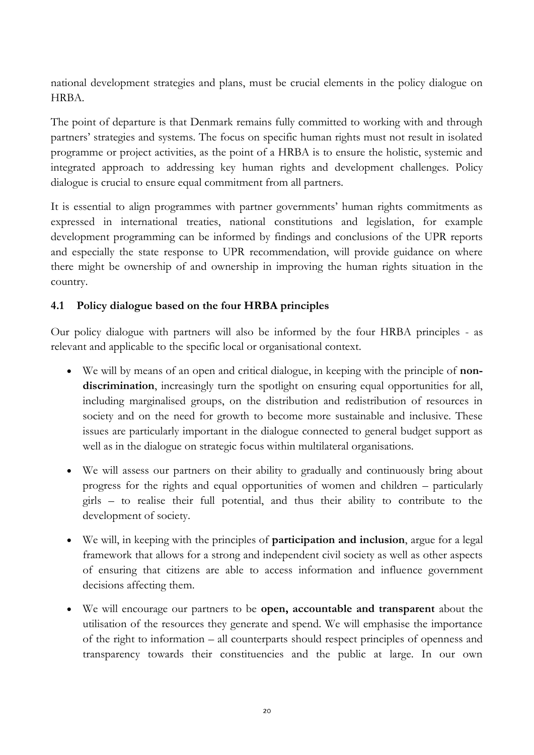national development strategies and plans, must be crucial elements in the policy dialogue on HRBA.

The point of departure is that Denmark remains fully committed to working with and through partners' strategies and systems. The focus on specific human rights must not result in isolated programme or project activities, as the point of a HRBA is to ensure the holistic, systemic and integrated approach to addressing key human rights and development challenges. Policy dialogue is crucial to ensure equal commitment from all partners.

It is essential to align programmes with partner governments' human rights commitments as expressed in international treaties, national constitutions and legislation, for example development programming can be informed by findings and conclusions of the UPR reports and especially the state response to UPR recommendation, will provide guidance on where there might be ownership of and ownership in improving the human rights situation in the country.

#### **4.1 Policy dialogue based on the four HRBA principles**

Our policy dialogue with partners will also be informed by the four HRBA principles - as relevant and applicable to the specific local or organisational context.

- We will by means of an open and critical dialogue, in keeping with the principle of **nondiscrimination**, increasingly turn the spotlight on ensuring equal opportunities for all, including marginalised groups, on the distribution and redistribution of resources in society and on the need for growth to become more sustainable and inclusive. These issues are particularly important in the dialogue connected to general budget support as well as in the dialogue on strategic focus within multilateral organisations.
- We will assess our partners on their ability to gradually and continuously bring about progress for the rights and equal opportunities of women and children – particularly girls – to realise their full potential, and thus their ability to contribute to the development of society.
- We will, in keeping with the principles of **participation and inclusion**, argue for a legal framework that allows for a strong and independent civil society as well as other aspects of ensuring that citizens are able to access information and influence government decisions affecting them.
- We will encourage our partners to be **open, accountable and transparent** about the utilisation of the resources they generate and spend. We will emphasise the importance of the right to information – all counterparts should respect principles of openness and transparency towards their constituencies and the public at large. In our own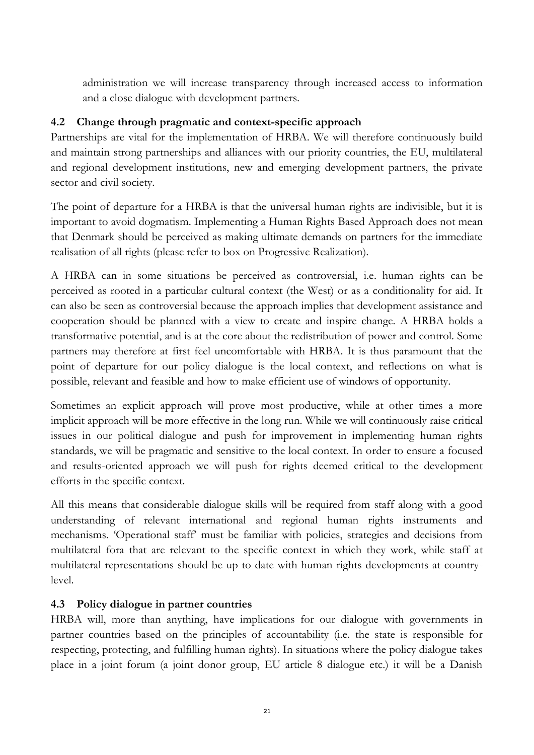administration we will increase transparency through increased access to information and a close dialogue with development partners.

#### **4.2 Change through pragmatic and context-specific approach**

Partnerships are vital for the implementation of HRBA. We will therefore continuously build and maintain strong partnerships and alliances with our priority countries, the EU, multilateral and regional development institutions, new and emerging development partners, the private sector and civil society.

The point of departure for a HRBA is that the universal human rights are indivisible, but it is important to avoid dogmatism. Implementing a Human Rights Based Approach does not mean that Denmark should be perceived as making ultimate demands on partners for the immediate realisation of all rights (please refer to box on Progressive Realization).

A HRBA can in some situations be perceived as controversial, i.e. human rights can be perceived as rooted in a particular cultural context (the West) or as a conditionality for aid. It can also be seen as controversial because the approach implies that development assistance and cooperation should be planned with a view to create and inspire change. A HRBA holds a transformative potential, and is at the core about the redistribution of power and control. Some partners may therefore at first feel uncomfortable with HRBA. It is thus paramount that the point of departure for our policy dialogue is the local context, and reflections on what is possible, relevant and feasible and how to make efficient use of windows of opportunity.

Sometimes an explicit approach will prove most productive, while at other times a more implicit approach will be more effective in the long run. While we will continuously raise critical issues in our political dialogue and push for improvement in implementing human rights standards, we will be pragmatic and sensitive to the local context. In order to ensure a focused and results-oriented approach we will push for rights deemed critical to the development efforts in the specific context.

All this means that considerable dialogue skills will be required from staff along with a good understanding of relevant international and regional human rights instruments and mechanisms. 'Operational staff' must be familiar with policies, strategies and decisions from multilateral fora that are relevant to the specific context in which they work, while staff at multilateral representations should be up to date with human rights developments at countrylevel.

#### **4.3 Policy dialogue in partner countries**

HRBA will, more than anything, have implications for our dialogue with governments in partner countries based on the principles of accountability (i.e. the state is responsible for respecting, protecting, and fulfilling human rights). In situations where the policy dialogue takes place in a joint forum (a joint donor group, EU article 8 dialogue etc.) it will be a Danish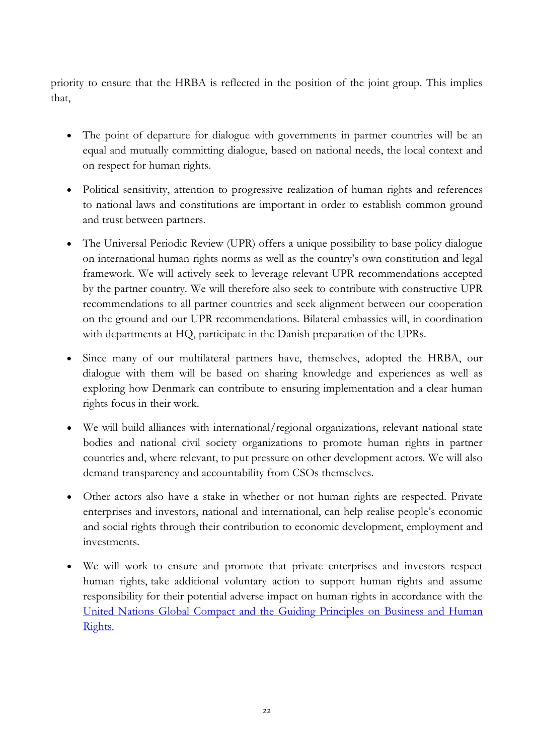priority to ensure that the HRBA is reflected in the position of the joint group. This implies that,

- The point of departure for dialogue with governments in partner countries will be an equal and mutually committing dialogue, based on national needs, the local context and on respect for human rights.
- Political sensitivity, attention to progressive realization of human rights and references to national laws and constitutions are important in order to establish common ground and trust between partners.
- The Universal Periodic Review (UPR) offers a unique possibility to base policy dialogue on international human rights norms as well as the country's own constitution and legal framework. We will actively seek to leverage relevant UPR recommendations accepted by the partner country. We will therefore also seek to contribute with constructive UPR recommendations to all partner countries and seek alignment between our cooperation on the ground and our UPR recommendations. Bilateral embassies will, in coordination with departments at HQ, participate in the Danish preparation of the UPRs.
- Since many of our multilateral partners have, themselves, adopted the HRBA, our dialogue with them will be based on sharing knowledge and experiences as well as exploring how Denmark can contribute to ensuring implementation and a clear human rights focus in their work.
- We will build alliances with international/regional organizations, relevant national state bodies and national civil society organizations to promote human rights in partner countries and, where relevant, to put pressure on other development actors. We will also demand transparency and accountability from CSOs themselves.
- Other actors also have a stake in whether or not human rights are respected. Private enterprises and investors, national and international, can help realise people's economic and social rights through their contribution to economic development, employment and investments.
- We will work to ensure and promote that private enterprises and investors respect human rights, take additional voluntary action to support human rights and assume responsibility for their potential adverse impact on human rights in accordance with the [United Nations Global Compact and the Guiding Principles on Business and Human](http://www.business-humanrights.org/media/documents/ruggie/ruggie-guiding-principles-21-mar-2011.pdf)  [Rights.](http://www.business-humanrights.org/media/documents/ruggie/ruggie-guiding-principles-21-mar-2011.pdf)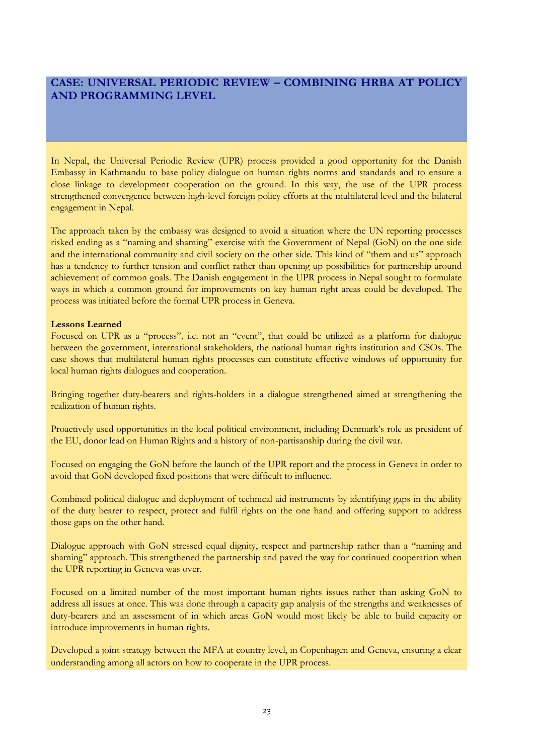#### **CASE: UNIVERSAL PERIODIC REVIEW – COMBINING HRBA AT POLICY AND PROGRAMMING LEVEL**

In Nepal, the Universal Periodic Review (UPR) process provided a good opportunity for the Danish Embassy in Kathmandu to base policy dialogue on human rights norms and standards and to ensure a close linkage to development cooperation on the ground. In this way, the use of the UPR process strengthened convergence between high-level foreign policy efforts at the multilateral level and the bilateral engagement in Nepal.

The approach taken by the embassy was designed to avoid a situation where the UN reporting processes risked ending as a "naming and shaming" exercise with the Government of Nepal (GoN) on the one side and the international community and civil society on the other side. This kind of "them and us" approach has a tendency to further tension and conflict rather than opening up possibilities for partnership around achievement of common goals. The Danish engagement in the UPR process in Nepal sought to formulate ways in which a common ground for improvements on key human right areas could be developed. The process was initiated before the formal UPR process in Geneva.

#### **Lessons Learned**

Focused on UPR as a "process", i.e. not an "event", that could be utilized as a platform for dialogue between the government, international stakeholders, the national human rights institution and CSOs. The case shows that multilateral human rights processes can constitute effective windows of opportunity for local human rights dialogues and cooperation.

Bringing together duty-bearers and rights-holders in a dialogue strengthened aimed at strengthening the realization of human rights.

Proactively used opportunities in the local political environment, including Denmark's role as president of the EU, donor lead on Human Rights and a history of non-partisanship during the civil war.

Focused on engaging the GoN before the launch of the UPR report and the process in Geneva in order to avoid that GoN developed fixed positions that were difficult to influence.

Combined political dialogue and deployment of technical aid instruments by identifying gaps in the ability of the duty bearer to respect, protect and fulfil rights on the one hand and offering support to address those gaps on the other hand.

Dialogue approach with GoN stressed equal dignity, respect and partnership rather than a "naming and shaming" approach. This strengthened the partnership and paved the way for continued cooperation when the UPR reporting in Geneva was over.

Focused on a limited number of the most important human rights issues rather than asking GoN to address all issues at once. This was done through a capacity gap analysis of the strengths and weaknesses of duty-bearers and an assessment of in which areas GoN would most likely be able to build capacity or introduce improvements in human rights.

Developed a joint strategy between the MFA at country level, in Copenhagen and Geneva, ensuring a clear understanding among all actors on how to cooperate in the UPR process.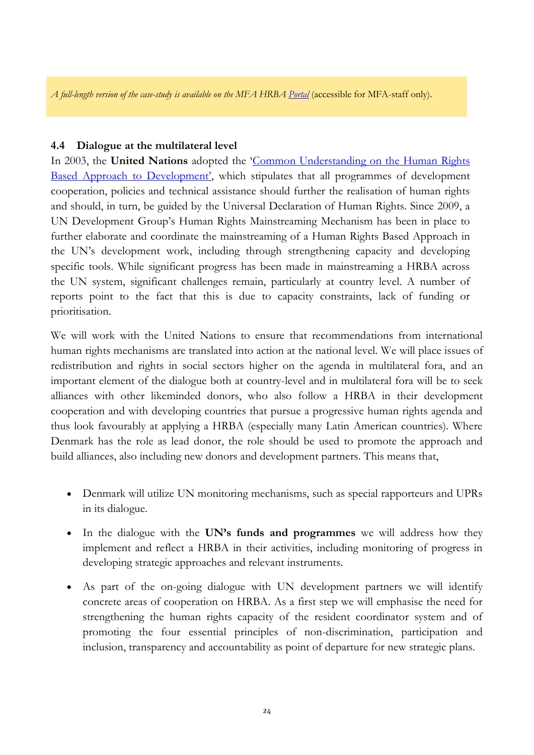*A full-length version of the case-study is available on the MFA HRB[A Portal](http://intranet/Organisation/O1/O5/Human%20rights%20based%20approach%20to%20development/Sider/Lessons%20Learned.aspx)* (accessible for MFA-staff only).

#### **4.4 Dialogue at the multilateral level**

In 2003, the **United Nations** adopted the 'Common Understanding on the Human Rights [Based Approach to Development'](http://hrba.undp.sk/index.php/terms-and-concepts/a-human-rights-based-approach-to-programming/the-un-common-understanding-and-a-human-rights-based-approach-to-programming), which stipulates that all programmes of development cooperation, policies and technical assistance should further the realisation of human rights and should, in turn, be guided by the Universal Declaration of Human Rights. Since 2009, a UN Development Group's Human Rights Mainstreaming Mechanism has been in place to further elaborate and coordinate the mainstreaming of a Human Rights Based Approach in the UN's development work, including through strengthening capacity and developing specific tools. While significant progress has been made in mainstreaming a HRBA across the UN system, significant challenges remain, particularly at country level. A number of reports point to the fact that this is due to capacity constraints, lack of funding or prioritisation.

We will work with the United Nations to ensure that recommendations from international human rights mechanisms are translated into action at the national level. We will place issues of redistribution and rights in social sectors higher on the agenda in multilateral fora, and an important element of the dialogue both at country-level and in multilateral fora will be to seek alliances with other likeminded donors, who also follow a HRBA in their development cooperation and with developing countries that pursue a progressive human rights agenda and thus look favourably at applying a HRBA (especially many Latin American countries). Where Denmark has the role as lead donor, the role should be used to promote the approach and build alliances, also including new donors and development partners. This means that,

- Denmark will utilize UN monitoring mechanisms, such as special rapporteurs and UPRs in its dialogue.
- In the dialogue with the **UN's funds and programmes** we will address how they implement and reflect a HRBA in their activities, including monitoring of progress in developing strategic approaches and relevant instruments.
- As part of the on-going dialogue with UN development partners we will identify concrete areas of cooperation on HRBA. As a first step we will emphasise the need for strengthening the human rights capacity of the resident coordinator system and of promoting the four essential principles of non-discrimination, participation and inclusion, transparency and accountability as point of departure for new strategic plans.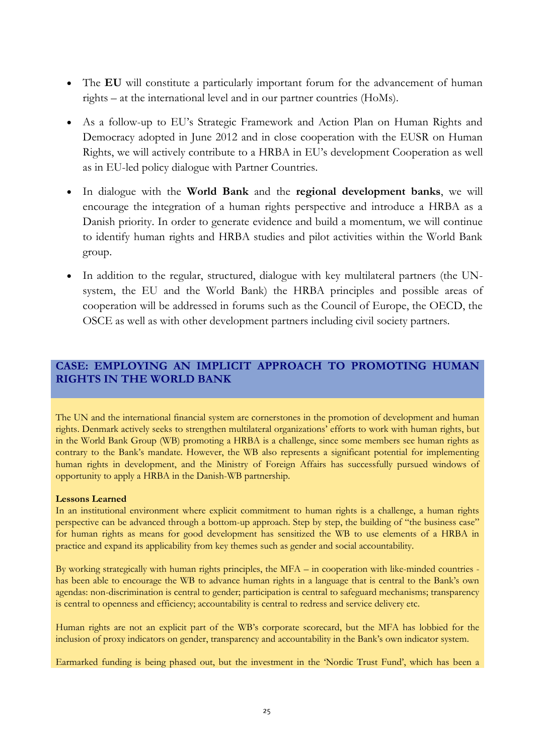- The **EU** will constitute a particularly important forum for the advancement of human rights – at the international level and in our partner countries (HoMs).
- As a follow-up to EU's Strategic Framework and Action Plan on Human Rights and Democracy adopted in June 2012 and in close cooperation with the EUSR on Human Rights, we will actively contribute to a HRBA in EU's development Cooperation as well as in EU-led policy dialogue with Partner Countries.
- In dialogue with the **World Bank** and the **regional development banks**, we will encourage the integration of a human rights perspective and introduce a HRBA as a Danish priority. In order to generate evidence and build a momentum, we will continue to identify human rights and HRBA studies and pilot activities within the World Bank group.
- In addition to the regular, structured, dialogue with key multilateral partners (the UNsystem, the EU and the World Bank) the HRBA principles and possible areas of cooperation will be addressed in forums such as the Council of Europe, the OECD, the OSCE as well as with other development partners including civil society partners.

#### **CASE: EMPLOYING AN IMPLICIT APPROACH TO PROMOTING HUMAN RIGHTS IN THE WORLD BANK**

The UN and the international financial system are cornerstones in the promotion of development and human rights. Denmark actively seeks to strengthen multilateral organizations' efforts to work with human rights, but in the World Bank Group (WB) promoting a HRBA is a challenge, since some members see human rights as contrary to the Bank's mandate. However, the WB also represents a significant potential for implementing human rights in development, and the Ministry of Foreign Affairs has successfully pursued windows of opportunity to apply a HRBA in the Danish-WB partnership.

#### **Lessons Learned**

In an institutional environment where explicit commitment to human rights is a challenge, a human rights perspective can be advanced through a bottom-up approach. Step by step, the building of "the business case" for human rights as means for good development has sensitized the WB to use elements of a HRBA in practice and expand its applicability from key themes such as gender and social accountability.

By working strategically with human rights principles, the MFA – in cooperation with like-minded countries has been able to encourage the WB to advance human rights in a language that is central to the Bank's own agendas: non-discrimination is central to gender; participation is central to safeguard mechanisms; transparency is central to openness and efficiency; accountability is central to redress and service delivery etc.

Human rights are not an explicit part of the WB's corporate scorecard, but the MFA has lobbied for the inclusion of proxy indicators on gender, transparency and accountability in the Bank's own indicator system.

Earmarked funding is being phased out, but the investment in the 'Nordic Trust Fund', which has been a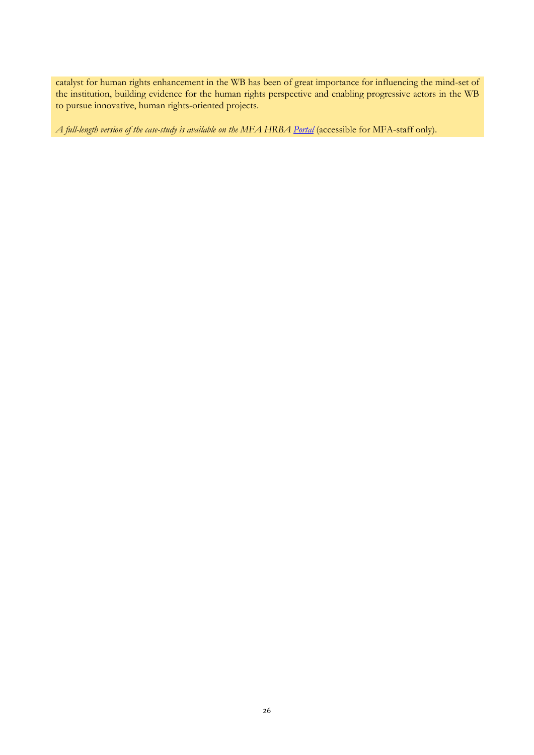catalyst for human rights enhancement in the WB has been of great importance for influencing the mind-set of the institution, building evidence for the human rights perspective and enabling progressive actors in the WB to pursue innovative, human rights-oriented projects.

*A full-length version of the case-study is available on the MFA HRBA [Portal](http://intranet/Organisation/O1/O5/Human%20rights%20based%20approach%20to%20development/Sider/Lessons%20Learned.aspx)* (accessible for MFA-staff only).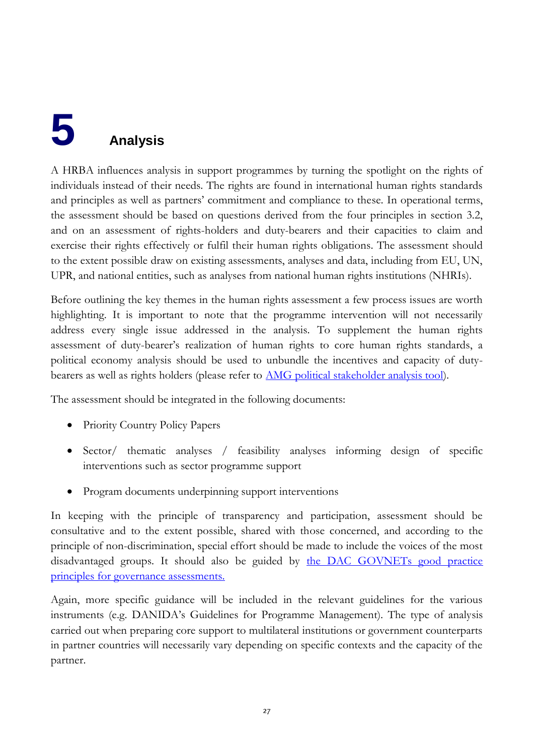## <span id="page-27-0"></span>**5 Analysis**

A HRBA influences analysis in support programmes by turning the spotlight on the rights of individuals instead of their needs. The rights are found in international human rights standards and principles as well as partners' commitment and compliance to these. In operational terms, the assessment should be based on questions derived from the four principles in section 3.2, and on an assessment of rights-holders and duty-bearers and their capacities to claim and exercise their rights effectively or fulfil their human rights obligations. The assessment should to the extent possible draw on existing assessments, analyses and data, including from EU, UN, UPR, and national entities, such as analyses from national human rights institutions (NHRIs).

Before outlining the key themes in the human rights assessment a few process issues are worth highlighting. It is important to note that the programme intervention will not necessarily address every single issue addressed in the analysis. To supplement the human rights assessment of duty-bearer's realization of human rights to core human rights standards, a political economy analysis should be used to unbundle the incentives and capacity of dutybearers as well as rights holders (please refer to [AMG political stakeholder analysis tool\)](http://amg.um.dk/en/technical-guidelines/capacity-development/).

The assessment should be integrated in the following documents:

- Priority Country Policy Papers
- Sector/ thematic analyses / feasibility analyses informing design of specific interventions such as sector programme support
- Program documents underpinning support interventions

In keeping with the principle of transparency and participation, assessment should be consultative and to the extent possible, shared with those concerned, and according to the principle of non-discrimination, special effort should be made to include the voices of the most disadvantaged groups. It should also be guided by the DAC GOVNETs good practice [principles for governance assessments.](http://www.oecd.org/development/governanceanddevelopment/42338036.pdf) 

Again, more specific guidance will be included in the relevant guidelines for the various instruments (e.g. DANIDA's Guidelines for Programme Management). The type of analysis carried out when preparing core support to multilateral institutions or government counterparts in partner countries will necessarily vary depending on specific contexts and the capacity of the partner.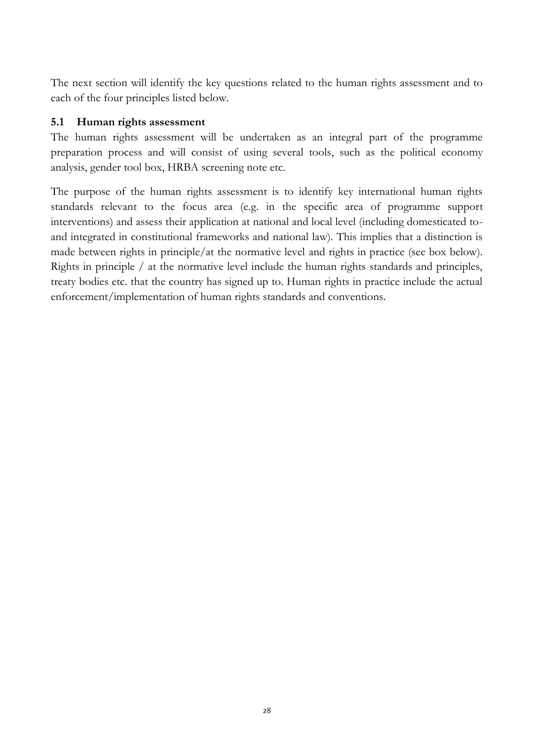The next section will identify the key questions related to the human rights assessment and to each of the four principles listed below.

#### **5.1 Human rights assessment**

The human rights assessment will be undertaken as an integral part of the programme preparation process and will consist of using several tools, such as the political economy analysis, gender tool box, HRBA screening note etc.

The purpose of the human rights assessment is to identify key international human rights standards relevant to the focus area (e.g. in the specific area of programme support interventions) and assess their application at national and local level (including domesticated toand integrated in constitutional frameworks and national law). This implies that a distinction is made between rights in principle/at the normative level and rights in practice (see box below). Rights in principle / at the normative level include the human rights standards and principles, treaty bodies etc. that the country has signed up to. Human rights in practice include the actual enforcement/implementation of human rights standards and conventions.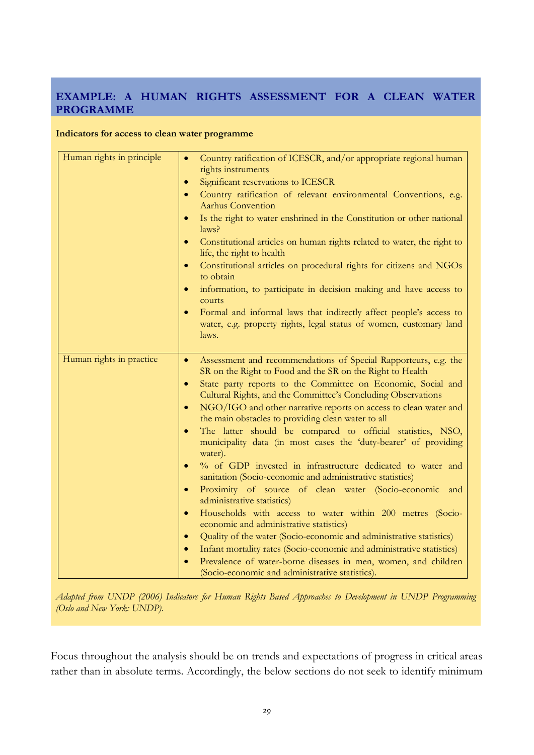#### **EXAMPLE: A HUMAN RIGHTS ASSESSMENT FOR A CLEAN WATER PROGRAMME**

#### **Indicators for access to clean water programme**

| Human rights in principle | Country ratification of ICESCR, and/or appropriate regional human<br>$\bullet$<br>rights instruments                                                           |  |  |
|---------------------------|----------------------------------------------------------------------------------------------------------------------------------------------------------------|--|--|
|                           | Significant reservations to ICESCR<br>$\bullet$                                                                                                                |  |  |
|                           | Country ratification of relevant environmental Conventions, e.g.<br>$\bullet$<br><b>Aarhus Convention</b>                                                      |  |  |
|                           | Is the right to water enshrined in the Constitution or other national<br>$\bullet$<br>laws?                                                                    |  |  |
|                           | Constitutional articles on human rights related to water, the right to<br>$\bullet$<br>life, the right to health                                               |  |  |
|                           | Constitutional articles on procedural rights for citizens and NGOs<br>$\bullet$<br>to obtain                                                                   |  |  |
|                           | information, to participate in decision making and have access to<br>$\bullet$<br>courts                                                                       |  |  |
|                           | Formal and informal laws that indirectly affect people's access to<br>$\bullet$<br>water, e.g. property rights, legal status of women, customary land<br>laws. |  |  |
| Human rights in practice  | Assessment and recommendations of Special Rapporteurs, e.g. the<br>$\bullet$                                                                                   |  |  |
|                           | SR on the Right to Food and the SR on the Right to Health                                                                                                      |  |  |
|                           | State party reports to the Committee on Economic, Social and<br>$\bullet$<br>Cultural Rights, and the Committee's Concluding Observations                      |  |  |
|                           | NGO/IGO and other narrative reports on access to clean water and<br>$\bullet$<br>the main obstacles to providing clean water to all                            |  |  |
|                           | The latter should be compared to official statistics, NSO,<br>$\bullet$<br>municipality data (in most cases the 'duty-bearer' of providing<br>water).          |  |  |
|                           | % of GDP invested in infrastructure dedicated to water and<br>$\bullet$<br>sanitation (Socio-economic and administrative statistics)                           |  |  |
|                           | Proximity of source of clean water (Socio-economic and<br>$\bullet$<br>administrative statistics)                                                              |  |  |
|                           | Households with access to water within 200 metres (Socio-<br>$\bullet$<br>economic and administrative statistics)                                              |  |  |
|                           | Quality of the water (Socio-economic and administrative statistics)<br>$\bullet$                                                                               |  |  |
|                           | Infant mortality rates (Socio-economic and administrative statistics)<br>$\bullet$                                                                             |  |  |
|                           | Prevalence of water-borne diseases in men, women, and children<br>$\bullet$                                                                                    |  |  |
|                           | (Socio-economic and administrative statistics).                                                                                                                |  |  |

*Adapted from UNDP (2006) Indicators for Human Rights Based Approaches to Development in UNDP Programming (Oslo and New York: UNDP)*.

Focus throughout the analysis should be on trends and expectations of progress in critical areas rather than in absolute terms. Accordingly, the below sections do not seek to identify minimum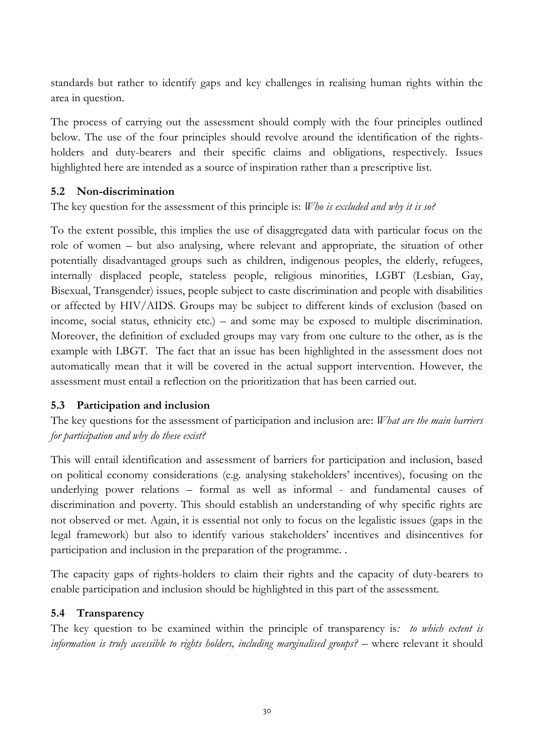standards but rather to identify gaps and key challenges in realising human rights within the area in question.

The process of carrying out the assessment should comply with the four principles outlined below. The use of the four principles should revolve around the identification of the rightsholders and duty-bearers and their specific claims and obligations, respectively. Issues highlighted here are intended as a source of inspiration rather than a prescriptive list.

#### **5.2 Non-discrimination**

The key question for the assessment of this principle is: *Who is excluded and why it is so?* 

To the extent possible, this implies the use of disaggregated data with particular focus on the role of women – but also analysing, where relevant and appropriate, the situation of other potentially disadvantaged groups such as children, indigenous peoples, the elderly, refugees, internally displaced people, stateless people, religious minorities, LGBT (Lesbian, Gay, Bisexual, Transgender) issues, people subject to caste discrimination and people with disabilities or affected by HIV/AIDS. Groups may be subject to different kinds of exclusion (based on income, social status, ethnicity etc.) – and some may be exposed to multiple discrimination. Moreover, the definition of excluded groups may vary from one culture to the other, as is the example with LBGT. The fact that an issue has been highlighted in the assessment does not automatically mean that it will be covered in the actual support intervention. However, the assessment must entail a reflection on the prioritization that has been carried out.

#### **5.3 Participation and inclusion**

The key questions for the assessment of participation and inclusion are: *What are the main barriers for participation and why do these exist?*

This will entail identification and assessment of barriers for participation and inclusion, based on political economy considerations (e.g. analysing stakeholders' incentives), focusing on the underlying power relations – formal as well as informal - and fundamental causes of discrimination and poverty. This should establish an understanding of why specific rights are not observed or met. Again, it is essential not only to focus on the legalistic issues (gaps in the legal framework) but also to identify various stakeholders' incentives and disincentives for participation and inclusion in the preparation of the programme. .

The capacity gaps of rights-holders to claim their rights and the capacity of duty-bearers to enable participation and inclusion should be highlighted in this part of the assessment.

#### **5.4 Transparency**

The key question to be examined within the principle of transparency is*: to which extent is information is truly accessible to rights holders, including marginalised groups?* – where relevant it should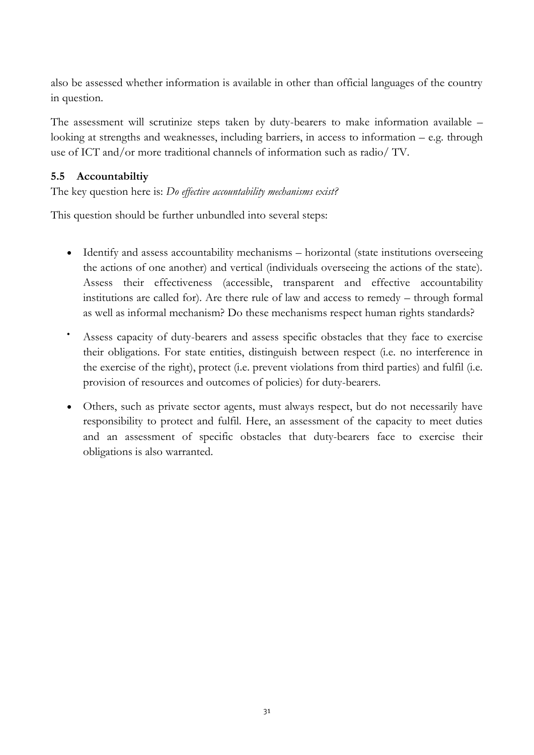also be assessed whether information is available in other than official languages of the country in question.

The assessment will scrutinize steps taken by duty-bearers to make information available – looking at strengths and weaknesses, including barriers, in access to information – e.g. through use of ICT and/or more traditional channels of information such as radio/ TV.

#### **5.5 Accountabiltiy**

The key question here is: *Do effective accountability mechanisms exist?*

This question should be further unbundled into several steps:

- Identify and assess accountability mechanisms horizontal (state institutions overseeing the actions of one another) and vertical (individuals overseeing the actions of the state). Assess their effectiveness (accessible, transparent and effective accountability institutions are called for). Are there rule of law and access to remedy – through formal as well as informal mechanism? Do these mechanisms respect human rights standards?
- Assess capacity of duty-bearers and assess specific obstacles that they face to exercise their obligations. For state entities, distinguish between respect (i.e. no interference in the exercise of the right), protect (i.e. prevent violations from third parties) and fulfil (i.e. provision of resources and outcomes of policies) for duty-bearers.
- Others, such as private sector agents, must always respect, but do not necessarily have responsibility to protect and fulfil. Here, an assessment of the capacity to meet duties and an assessment of specific obstacles that duty-bearers face to exercise their obligations is also warranted.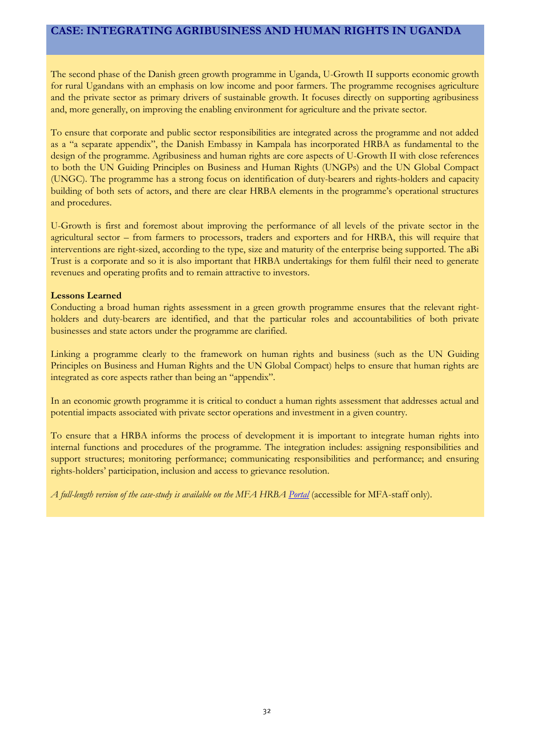#### **CASE: INTEGRATING AGRIBUSINESS AND HUMAN RIGHTS IN UGANDA**

The second phase of the Danish green growth programme in Uganda, U-Growth II supports economic growth for rural Ugandans with an emphasis on low income and poor farmers. The programme recognises agriculture and the private sector as primary drivers of sustainable growth. It focuses directly on supporting agribusiness and, more generally, on improving the enabling environment for agriculture and the private sector.

To ensure that corporate and public sector responsibilities are integrated across the programme and not added as a "a separate appendix", the Danish Embassy in Kampala has incorporated HRBA as fundamental to the design of the programme. Agribusiness and human rights are core aspects of U-Growth II with close references to both the UN Guiding Principles on Business and Human Rights (UNGPs) and the UN Global Compact (UNGC). The programme has a strong focus on identification of duty-bearers and rights-holders and capacity building of both sets of actors, and there are clear HRBA elements in the programme's operational structures and procedures.

U-Growth is first and foremost about improving the performance of all levels of the private sector in the agricultural sector – from farmers to processors, traders and exporters and for HRBA, this will require that interventions are right-sized, according to the type, size and maturity of the enterprise being supported. The aBi Trust is a corporate and so it is also important that HRBA undertakings for them fulfil their need to generate revenues and operating profits and to remain attractive to investors.

#### **Lessons Learned**

Conducting a broad human rights assessment in a green growth programme ensures that the relevant rightholders and duty-bearers are identified, and that the particular roles and accountabilities of both private businesses and state actors under the programme are clarified.

Linking a programme clearly to the framework on human rights and business (such as the UN Guiding Principles on Business and Human Rights and the UN Global Compact) helps to ensure that human rights are integrated as core aspects rather than being an "appendix".

In an economic growth programme it is critical to conduct a human rights assessment that addresses actual and potential impacts associated with private sector operations and investment in a given country.

To ensure that a HRBA informs the process of development it is important to integrate human rights into internal functions and procedures of the programme. The integration includes: assigning responsibilities and support structures; monitoring performance; communicating responsibilities and performance; and ensuring rights-holders' participation, inclusion and access to grievance resolution.

*A full-length version of the case-study is available on the MFA HRB[A Portal](http://intranet/Organisation/O1/O5/Human%20rights%20based%20approach%20to%20development/Sider/Lessons%20Learned.aspx)* (accessible for MFA-staff only).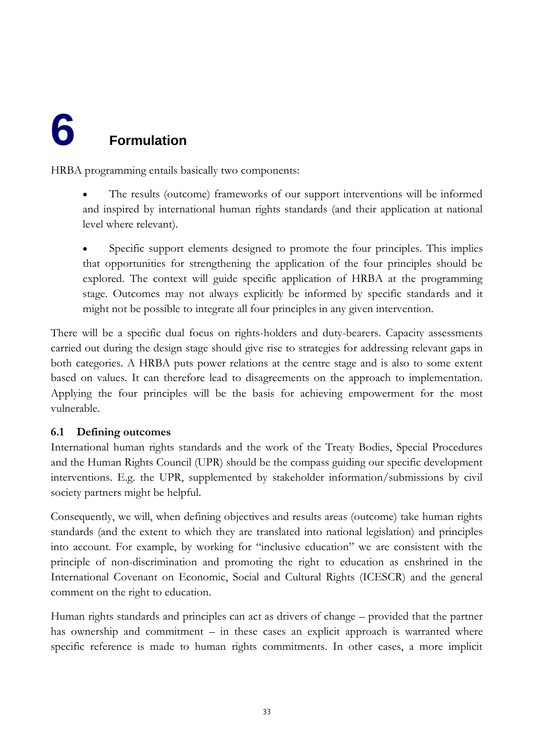## <span id="page-33-0"></span>**6 Formulation**

HRBA programming entails basically two components:

- The results (outcome) frameworks of our support interventions will be informed and inspired by international human rights standards (and their application at national level where relevant).
- Specific support elements designed to promote the four principles. This implies that opportunities for strengthening the application of the four principles should be explored. The context will guide specific application of HRBA at the programming stage. Outcomes may not always explicitly be informed by specific standards and it might not be possible to integrate all four principles in any given intervention.

There will be a specific dual focus on rights-holders and duty-bearers. Capacity assessments carried out during the design stage should give rise to strategies for addressing relevant gaps in both categories. A HRBA puts power relations at the centre stage and is also to some extent based on values. It can therefore lead to disagreements on the approach to implementation. Applying the four principles will be the basis for achieving empowerment for the most vulnerable.

#### **6.1 Defining outcomes**

International human rights standards and the work of the Treaty Bodies, Special Procedures and the Human Rights Council (UPR) should be the compass guiding our specific development interventions. E.g. the UPR, supplemented by stakeholder information/submissions by civil society partners might be helpful.

Consequently, we will, when defining objectives and results areas (outcome) take human rights standards (and the extent to which they are translated into national legislation) and principles into account. For example, by working for "inclusive education" we are consistent with the principle of non-discrimination and promoting the right to education as enshrined in the International Covenant on Economic, Social and Cultural Rights (ICESCR) and the general comment on the right to education.

Human rights standards and principles can act as drivers of change – provided that the partner has ownership and commitment – in these cases an explicit approach is warranted where specific reference is made to human rights commitments. In other cases, a more implicit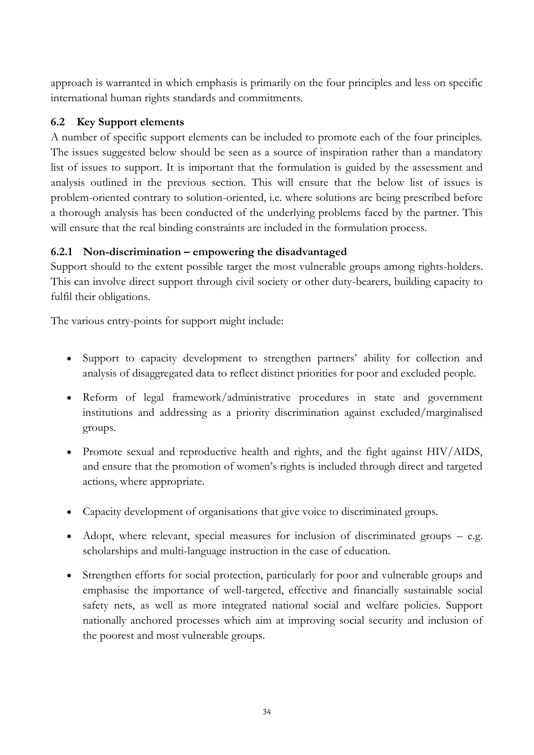approach is warranted in which emphasis is primarily on the four principles and less on specific international human rights standards and commitments.

#### **6.2 Key Support elements**

A number of specific support elements can be included to promote each of the four principles. The issues suggested below should be seen as a source of inspiration rather than a mandatory list of issues to support. It is important that the formulation is guided by the assessment and analysis outlined in the previous section. This will ensure that the below list of issues is problem-oriented contrary to solution-oriented, i.e. where solutions are being prescribed before a thorough analysis has been conducted of the underlying problems faced by the partner. This will ensure that the real binding constraints are included in the formulation process.

#### **6.2.1 Non-discrimination – empowering the disadvantaged**

Support should to the extent possible target the most vulnerable groups among rights-holders. This can involve direct support through civil society or other duty-bearers, building capacity to fulfil their obligations.

The various entry-points for support might include:

- Support to capacity development to strengthen partners' ability for collection and analysis of disaggregated data to reflect distinct priorities for poor and excluded people.
- Reform of legal framework/administrative procedures in state and government institutions and addressing as a priority discrimination against excluded/marginalised groups.
- Promote sexual and reproductive health and rights, and the fight against HIV/AIDS, and ensure that the promotion of women's rights is included through direct and targeted actions, where appropriate.
- Capacity development of organisations that give voice to discriminated groups.
- Adopt, where relevant, special measures for inclusion of discriminated groups  $-$  e.g. scholarships and multi-language instruction in the case of education.
- Strengthen efforts for social protection, particularly for poor and vulnerable groups and emphasise the importance of well-targeted, effective and financially sustainable social safety nets, as well as more integrated national social and welfare policies. Support nationally anchored processes which aim at improving social security and inclusion of the poorest and most vulnerable groups.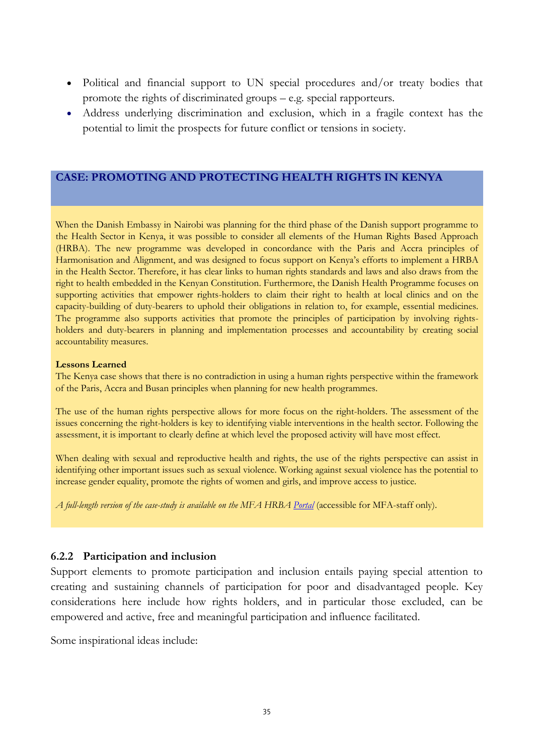- Political and financial support to UN special procedures and/or treaty bodies that promote the rights of discriminated groups – e.g. special rapporteurs.
- Address underlying discrimination and exclusion, which in a fragile context has the potential to limit the prospects for future conflict or tensions in society.

#### **CASE: PROMOTING AND PROTECTING HEALTH RIGHTS IN KENYA**

When the Danish Embassy in Nairobi was planning for the third phase of the Danish support programme to the Health Sector in Kenya, it was possible to consider all elements of the Human Rights Based Approach (HRBA). The new programme was developed in concordance with the Paris and Accra principles of Harmonisation and Alignment, and was designed to focus support on Kenya's efforts to implement a HRBA in the Health Sector. Therefore, it has clear links to human rights standards and laws and also draws from the right to health embedded in the Kenyan Constitution. Furthermore, the Danish Health Programme focuses on supporting activities that empower rights-holders to claim their right to health at local clinics and on the capacity-building of duty-bearers to uphold their obligations in relation to, for example, essential medicines. The programme also supports activities that promote the principles of participation by involving rightsholders and duty-bearers in planning and implementation processes and accountability by creating social accountability measures.

#### **Lessons Learned**

The Kenya case shows that there is no contradiction in using a human rights perspective within the framework of the Paris, Accra and Busan principles when planning for new health programmes.

The use of the human rights perspective allows for more focus on the right-holders. The assessment of the issues concerning the right-holders is key to identifying viable interventions in the health sector. Following the assessment, it is important to clearly define at which level the proposed activity will have most effect.

When dealing with sexual and reproductive health and rights, the use of the rights perspective can assist in identifying other important issues such as sexual violence. Working against sexual violence has the potential to increase gender equality, promote the rights of women and girls, and improve access to justice.

*A full-length version of the case-study is available on the MFA HRBA [Portal](http://intranet/Organisation/O1/O5/Human%20rights%20based%20approach%20to%20development/Sider/Lessons%20Learned.aspx)* (accessible for MFA-staff only).

#### **6.2.2 Participation and inclusion**

Support elements to promote participation and inclusion entails paying special attention to creating and sustaining channels of participation for poor and disadvantaged people. Key considerations here include how rights holders, and in particular those excluded, can be empowered and active, free and meaningful participation and influence facilitated.

Some inspirational ideas include: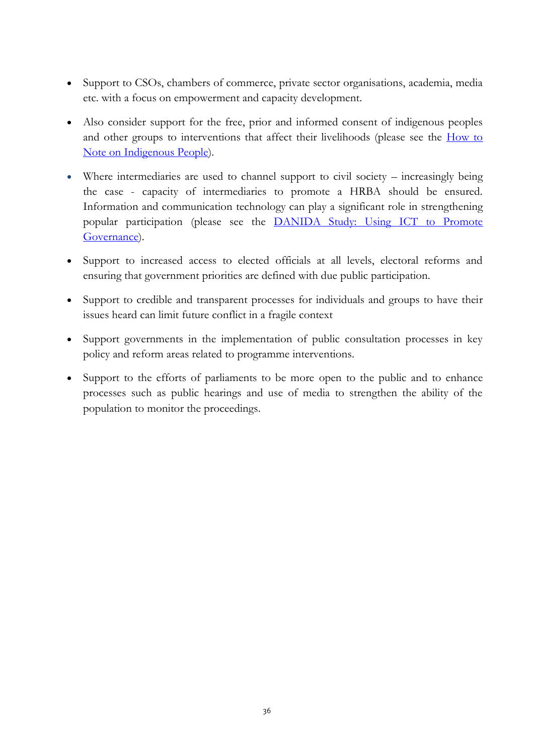- Support to CSOs, chambers of commerce, private sector organisations, academia, media etc. with a focus on empowerment and capacity development.
- Also consider support for the free, prior and informed consent of indigenous peoples and other groups to interventions that affect their livelihoods (please see the [How to](http://um.dk/en/~/media/UM/English-site/Documents/Danida/Activities/Strategic/Human%20rights%20and%20democracy/Human%20rights/How%20to%20Note%20Indigenous%20Peoples.pdf)  [Note on Indigenous People\)](http://um.dk/en/~/media/UM/English-site/Documents/Danida/Activities/Strategic/Human%20rights%20and%20democracy/Human%20rights/How%20to%20Note%20Indigenous%20Peoples.pdf).
- Where intermediaries are used to channel support to civil society increasingly being the case - capacity of intermediaries to promote a HRBA should be ensured. Information and communication technology can play a significant role in strengthening popular participation (please see the [DANIDA Study: Using ICT to Promote](http://um.dk/en/~/media/UM/English-site/Documents/DANIDA/Partners/Research-Org/Research-studies/Using%20ICT%20to%20Promote%20Governance%202012.ashx)  [Governance\)](http://um.dk/en/~/media/UM/English-site/Documents/DANIDA/Partners/Research-Org/Research-studies/Using%20ICT%20to%20Promote%20Governance%202012.ashx).
- Support to increased access to elected officials at all levels, electoral reforms and ensuring that government priorities are defined with due public participation.
- Support to credible and transparent processes for individuals and groups to have their issues heard can limit future conflict in a fragile context
- Support governments in the implementation of public consultation processes in key policy and reform areas related to programme interventions.
- Support to the efforts of parliaments to be more open to the public and to enhance processes such as public hearings and use of media to strengthen the ability of the population to monitor the proceedings.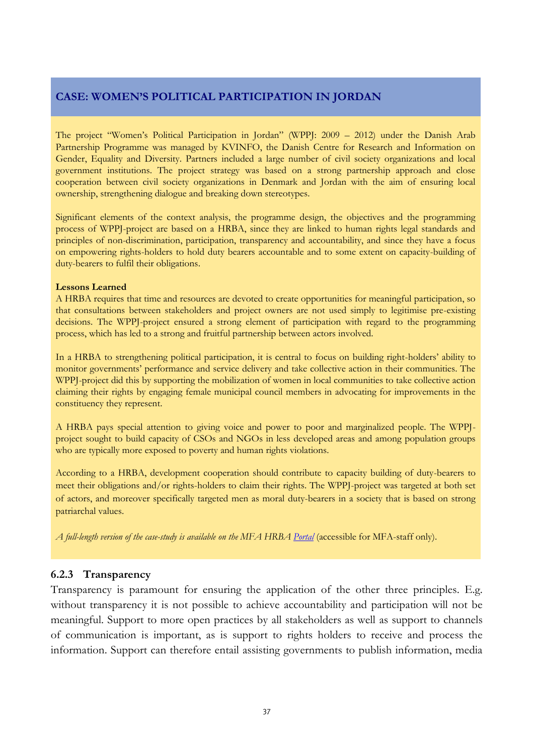#### **CASE: WOMEN'S POLITICAL PARTICIPATION IN JORDAN**

The project "Women's Political Participation in Jordan" (WPPJ: 2009 – 2012) under the Danish Arab Partnership Programme was managed by KVINFO, the Danish Centre for Research and Information on Gender, Equality and Diversity. Partners included a large number of civil society organizations and local government institutions. The project strategy was based on a strong partnership approach and close cooperation between civil society organizations in Denmark and Jordan with the aim of ensuring local ownership, strengthening dialogue and breaking down stereotypes.

Significant elements of the context analysis, the programme design, the objectives and the programming process of WPPJ-project are based on a HRBA, since they are linked to human rights legal standards and principles of non-discrimination, participation, transparency and accountability, and since they have a focus on empowering rights-holders to hold duty bearers accountable and to some extent on capacity-building of duty-bearers to fulfil their obligations.

#### **Lessons Learned**

A HRBA requires that time and resources are devoted to create opportunities for meaningful participation, so that consultations between stakeholders and project owners are not used simply to legitimise pre-existing decisions. The WPPJ-project ensured a strong element of participation with regard to the programming process, which has led to a strong and fruitful partnership between actors involved.

In a HRBA to strengthening political participation, it is central to focus on building right-holders' ability to monitor governments' performance and service delivery and take collective action in their communities. The WPPJ-project did this by supporting the mobilization of women in local communities to take collective action claiming their rights by engaging female municipal council members in advocating for improvements in the constituency they represent.

A HRBA pays special attention to giving voice and power to poor and marginalized people. The WPPJproject sought to build capacity of CSOs and NGOs in less developed areas and among population groups who are typically more exposed to poverty and human rights violations.

According to a HRBA, development cooperation should contribute to capacity building of duty-bearers to meet their obligations and/or rights-holders to claim their rights. The WPPJ-project was targeted at both set of actors, and moreover specifically targeted men as moral duty-bearers in a society that is based on strong patriarchal values.

*A full-length version of the case-study is available on the MFA HRBA [Portal](http://intranet/Organisation/O1/O5/Human%20rights%20based%20approach%20to%20development/Sider/Lessons%20Learned.aspx)* (accessible for MFA-staff only).

#### **6.2.3 Transparency**

Transparency is paramount for ensuring the application of the other three principles. E.g. without transparency it is not possible to achieve accountability and participation will not be meaningful. Support to more open practices by all stakeholders as well as support to channels of communication is important, as is support to rights holders to receive and process the information. Support can therefore entail assisting governments to publish information, media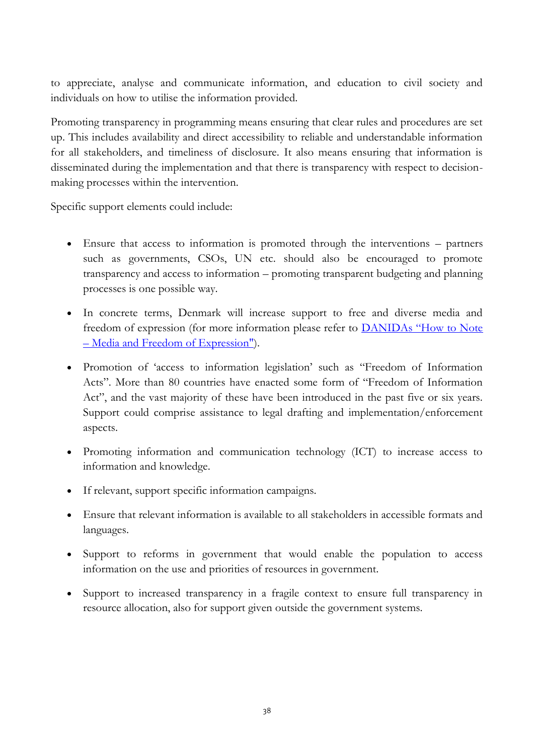to appreciate, analyse and communicate information, and education to civil society and individuals on how to utilise the information provided.

Promoting transparency in programming means ensuring that clear rules and procedures are set up. This includes availability and direct accessibility to reliable and understandable information for all stakeholders, and timeliness of disclosure. It also means ensuring that information is disseminated during the implementation and that there is transparency with respect to decisionmaking processes within the intervention.

Specific support elements could include:

- Ensure that access to information is promoted through the interventions partners such as governments, CSOs, UN etc. should also be encouraged to promote transparency and access to information – promoting transparent budgeting and planning processes is one possible way.
- In concrete terms, Denmark will increase support to free and diverse media and freedom of expression (for more information please refer to [DANIDAs "How to Note](http://www.netpublikationer.dk/um/11096/pdf/media_and_freedom_of_expression.pdf)  – [Media and Freedom of Expression"\)](http://www.netpublikationer.dk/um/11096/pdf/media_and_freedom_of_expression.pdf).
- Promotion of 'access to information legislation' such as "Freedom of Information Acts". More than 80 countries have enacted some form of "Freedom of Information Act", and the vast majority of these have been introduced in the past five or six years. Support could comprise assistance to legal drafting and implementation/enforcement aspects.
- Promoting information and communication technology (ICT) to increase access to information and knowledge.
- If relevant, support specific information campaigns.
- Ensure that relevant information is available to all stakeholders in accessible formats and languages.
- Support to reforms in government that would enable the population to access information on the use and priorities of resources in government.
- Support to increased transparency in a fragile context to ensure full transparency in resource allocation, also for support given outside the government systems.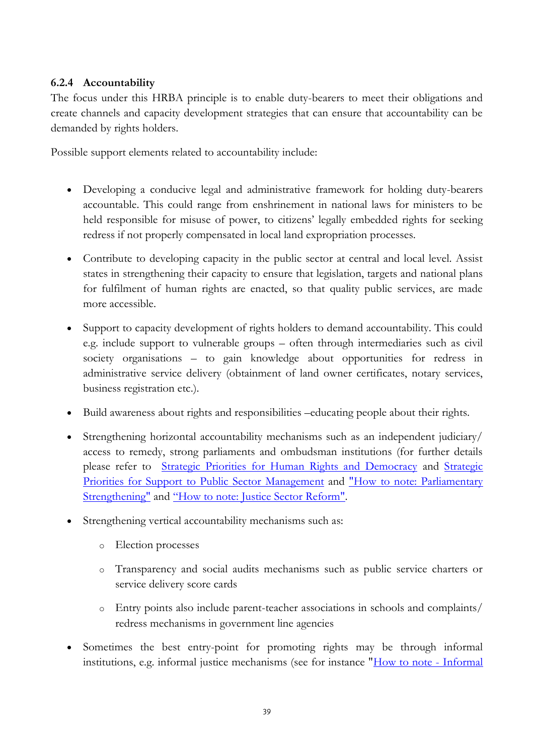#### **6.2.4 Accountability**

The focus under this HRBA principle is to enable duty-bearers to meet their obligations and create channels and capacity development strategies that can ensure that accountability can be demanded by rights holders.

Possible support elements related to accountability include:

- Developing a conducive legal and administrative framework for holding duty-bearers accountable. This could range from enshrinement in national laws for ministers to be held responsible for misuse of power, to citizens' legally embedded rights for seeking redress if not properly compensated in local land expropriation processes.
- Contribute to developing capacity in the public sector at central and local level. Assist states in strengthening their capacity to ensure that legislation, targets and national plans for fulfilment of human rights are enacted, so that quality public services, are made more accessible.
- Support to capacity development of rights holders to demand accountability. This could e.g. include support to vulnerable groups – often through intermediaries such as civil society organisations – to gain knowledge about opportunities for redress in administrative service delivery (obtainment of land owner certificates, notary services, business registration etc.).
- Build awareness about rights and responsibilities –educating people about their rights.
- Strengthening horizontal accountability mechanisms such as an independent judiciary/ access to remedy, strong parliaments and ombudsman institutions (for further details please refer to [Strategic Priorities for Human Rights and Democracy](http://um.dk/en/~/media/UM/English-site/Documents/Danida/Activities/Strategic/Human%20rights%20and%20democracy/Human%20rights/DemocratisationAndHumanRightsStrategyJune09.ashx) and [Strategic](http://um.dk/en/~/media/UM/English-site/Documents/Danida/Activities/Strategic/Human%20rights%20and%20democracy/Democracy/Effective%20and%20Accountable%20-%20web%20endelige%20version.ashx)  [Priorities for Support to Public Sector Management](http://um.dk/en/~/media/UM/English-site/Documents/Danida/Activities/Strategic/Human%20rights%20and%20democracy/Democracy/Effective%20and%20Accountable%20-%20web%20endelige%20version.ashx) and ["How to note: Parliamentary](http://um.dk/en/~/media/UM/English-site/Documents/Danida/Activities/Strategic/Human%20rights%20and%20democracy/Human%20rights/Parliamentary%20Strengthening%20final%20print.ashx)  [Strengthening"](http://um.dk/en/~/media/UM/English-site/Documents/Danida/Activities/Strategic/Human%20rights%20and%20democracy/Human%20rights/Parliamentary%20Strengthening%20final%20print.ashx) and ["How to note: Justice Sector Reform"](http://um.dk/en/~/media/UM/English-site/Documents/Danida/Activities/Strategic/Human%20rights%20and%20democracy/Human%20rights/Justice%20Sector%20Reform%20final%20print.ashx).
- Strengthening vertical accountability mechanisms such as:
	- o Election processes
	- o Transparency and social audits mechanisms such as public service charters or service delivery score cards
	- o Entry points also include parent-teacher associations in schools and complaints/ redress mechanisms in government line agencies
- Sometimes the best entry-point for promoting rights may be through informal institutions, e.g. informal justice mechanisms (see for instance ["How to note -](http://um.dk/en/~/media/UM/English-site/Documents/Danida/Activities/Strategic/Human%20rights%20and%20democracy/Human%20rights/Informal%20Justice%20Systems%20final%20print.ashxH) Informal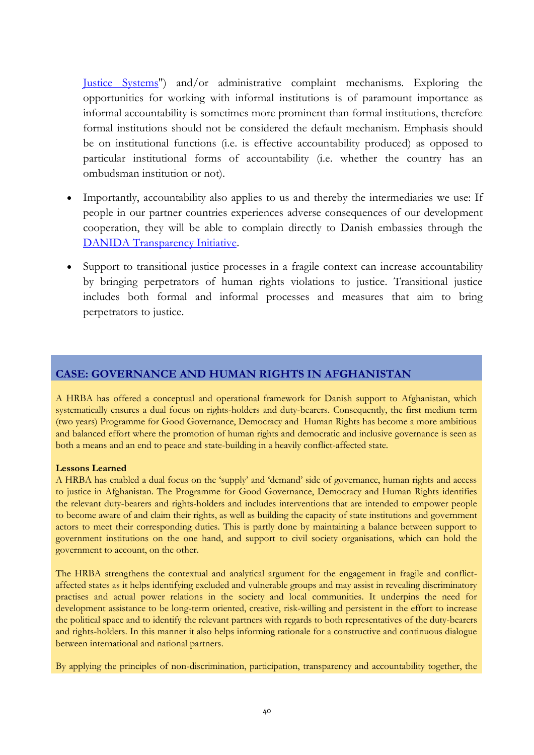[Justice Systems"](http://um.dk/en/~/media/UM/English-site/Documents/Danida/Activities/Strategic/Human%20rights%20and%20democracy/Human%20rights/Informal%20Justice%20Systems%20final%20print.ashxH)) and/or administrative complaint mechanisms. Exploring the opportunities for working with informal institutions is of paramount importance as informal accountability is sometimes more prominent than formal institutions, therefore formal institutions should not be considered the default mechanism. Emphasis should be on institutional functions (i.e. is effective accountability produced) as opposed to particular institutional forms of accountability (i.e. whether the country has an ombudsman institution or not).

- Importantly, accountability also applies to us and thereby the intermediaries we use: If people in our partner countries experiences adverse consequences of our development cooperation, they will be able to complain directly to Danish embassies through the [DANIDA Transparency Initiative.](http://um.dk/en/danida-en/about-danida/danida-transparency/)
- Support to transitional justice processes in a fragile context can increase accountability by bringing perpetrators of human rights violations to justice. Transitional justice includes both formal and informal processes and measures that aim to bring perpetrators to justice.

#### **CASE: GOVERNANCE AND HUMAN RIGHTS IN AFGHANISTAN**

A HRBA has offered a conceptual and operational framework for Danish support to Afghanistan, which systematically ensures a dual focus on rights-holders and duty-bearers. Consequently, the first medium term (two years) Programme for Good Governance, Democracy and Human Rights has become a more ambitious and balanced effort where the promotion of human rights and democratic and inclusive governance is seen as both a means and an end to peace and state-building in a heavily conflict-affected state.

#### **Lessons Learned**

A HRBA has enabled a dual focus on the 'supply' and 'demand' side of governance, human rights and access to justice in Afghanistan. The Programme for Good Governance, Democracy and Human Rights identifies the relevant duty-bearers and rights-holders and includes interventions that are intended to empower people to become aware of and claim their rights, as well as building the capacity of state institutions and government actors to meet their corresponding duties. This is partly done by maintaining a balance between support to government institutions on the one hand, and support to civil society organisations, which can hold the government to account, on the other.

The HRBA strengthens the contextual and analytical argument for the engagement in fragile and conflictaffected states as it helps identifying excluded and vulnerable groups and may assist in revealing discriminatory practises and actual power relations in the society and local communities. It underpins the need for development assistance to be long-term oriented, creative, risk-willing and persistent in the effort to increase the political space and to identify the relevant partners with regards to both representatives of the duty-bearers and rights-holders. In this manner it also helps informing rationale for a constructive and continuous dialogue between international and national partners.

By applying the principles of non-discrimination, participation, transparency and accountability together, the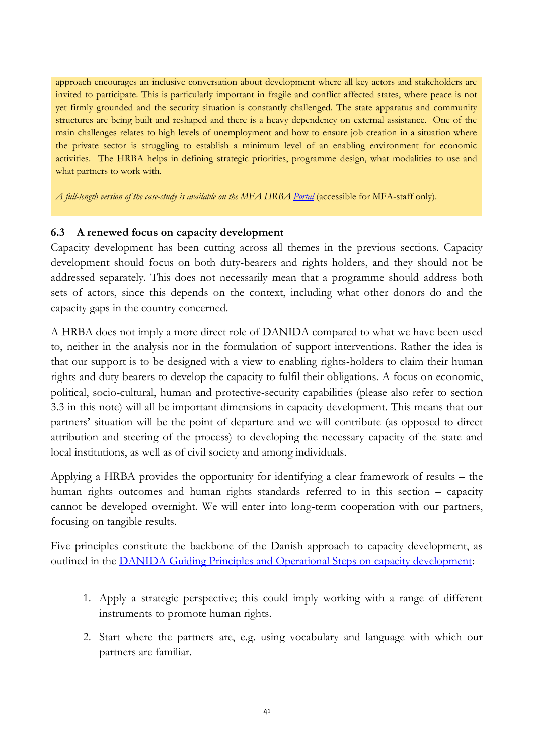approach encourages an inclusive conversation about development where all key actors and stakeholders are invited to participate. This is particularly important in fragile and conflict affected states, where peace is not yet firmly grounded and the security situation is constantly challenged. The state apparatus and community structures are being built and reshaped and there is a heavy dependency on external assistance. One of the main challenges relates to high levels of unemployment and how to ensure job creation in a situation where the private sector is struggling to establish a minimum level of an enabling environment for economic activities. The HRBA helps in defining strategic priorities, programme design, what modalities to use and what partners to work with.

*A full-length version of the case-study is available on the MFA HRBA [Portal](http://intranet/Organisation/O1/O5/Human%20rights%20based%20approach%20to%20development/Sider/Lessons%20Learned.aspx)* (accessible for MFA-staff only).

#### **6.3 A renewed focus on capacity development**

Capacity development has been cutting across all themes in the previous sections. Capacity development should focus on both duty-bearers and rights holders, and they should not be addressed separately. This does not necessarily mean that a programme should address both sets of actors, since this depends on the context, including what other donors do and the capacity gaps in the country concerned.

A HRBA does not imply a more direct role of DANIDA compared to what we have been used to, neither in the analysis nor in the formulation of support interventions. Rather the idea is that our support is to be designed with a view to enabling rights-holders to claim their human rights and duty-bearers to develop the capacity to fulfil their obligations. A focus on economic, political, socio-cultural, human and protective-security capabilities (please also refer to section 3.3 in this note) will all be important dimensions in capacity development. This means that our partners' situation will be the point of departure and we will contribute (as opposed to direct attribution and steering of the process) to developing the necessary capacity of the state and local institutions, as well as of civil society and among individuals.

Applying a HRBA provides the opportunity for identifying a clear framework of results – the human rights outcomes and human rights standards referred to in this section – capacity cannot be developed overnight. We will enter into long-term cooperation with our partners, focusing on tangible results.

Five principles constitute the backbone of the Danish approach to capacity development, as outlined in the **DANIDA** Guiding Principles and Operational Steps on capacity development:

- 1. Apply a strategic perspective; this could imply working with a range of different instruments to promote human rights.
- 2. Start where the partners are, e.g. using vocabulary and language with which our partners are familiar.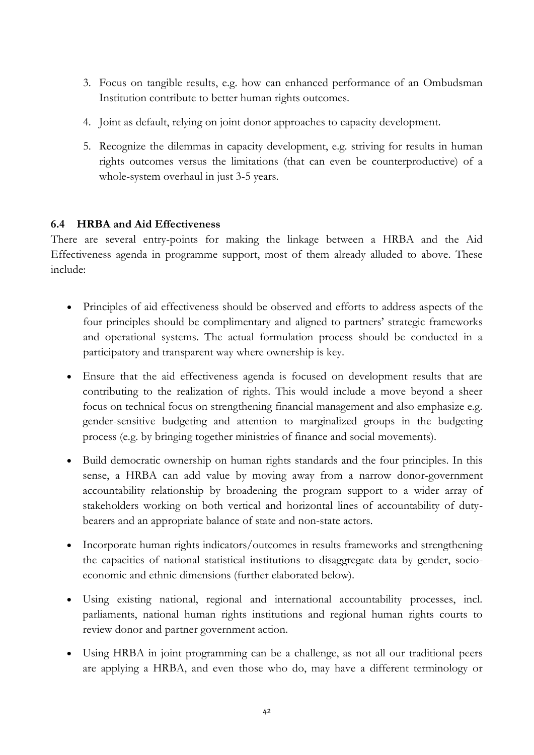- 3. Focus on tangible results, e.g. how can enhanced performance of an Ombudsman Institution contribute to better human rights outcomes.
- 4. Joint as default, relying on joint donor approaches to capacity development.
- 5. Recognize the dilemmas in capacity development, e.g. striving for results in human rights outcomes versus the limitations (that can even be counterproductive) of a whole-system overhaul in just 3-5 years.

#### **6.4 HRBA and Aid Effectiveness**

There are several entry-points for making the linkage between a HRBA and the Aid Effectiveness agenda in programme support, most of them already alluded to above. These include:

- Principles of aid effectiveness should be observed and efforts to address aspects of the four principles should be complimentary and aligned to partners' strategic frameworks and operational systems. The actual formulation process should be conducted in a participatory and transparent way where ownership is key.
- Ensure that the aid effectiveness agenda is focused on development results that are contributing to the realization of rights. This would include a move beyond a sheer focus on technical focus on strengthening financial management and also emphasize e.g. gender-sensitive budgeting and attention to marginalized groups in the budgeting process (e.g. by bringing together ministries of finance and social movements).
- Build democratic ownership on human rights standards and the four principles. In this sense, a HRBA can add value by moving away from a narrow donor-government accountability relationship by broadening the program support to a wider array of stakeholders working on both vertical and horizontal lines of accountability of dutybearers and an appropriate balance of state and non-state actors.
- Incorporate human rights indicators/outcomes in results frameworks and strengthening the capacities of national statistical institutions to disaggregate data by gender, socioeconomic and ethnic dimensions (further elaborated below).
- Using existing national, regional and international accountability processes, incl. parliaments, national human rights institutions and regional human rights courts to review donor and partner government action.
- Using HRBA in joint programming can be a challenge, as not all our traditional peers are applying a HRBA, and even those who do, may have a different terminology or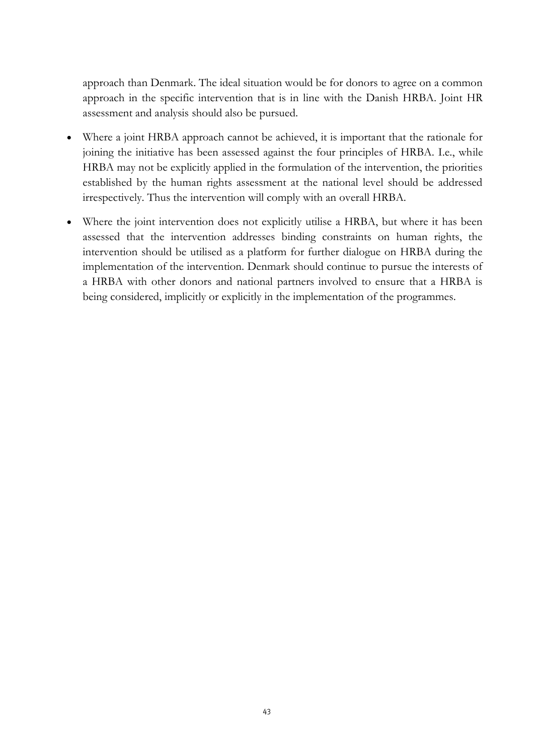approach than Denmark. The ideal situation would be for donors to agree on a common approach in the specific intervention that is in line with the Danish HRBA. Joint HR assessment and analysis should also be pursued.

- Where a joint HRBA approach cannot be achieved, it is important that the rationale for joining the initiative has been assessed against the four principles of HRBA. I.e., while HRBA may not be explicitly applied in the formulation of the intervention, the priorities established by the human rights assessment at the national level should be addressed irrespectively. Thus the intervention will comply with an overall HRBA.
- Where the joint intervention does not explicitly utilise a HRBA, but where it has been assessed that the intervention addresses binding constraints on human rights, the intervention should be utilised as a platform for further dialogue on HRBA during the implementation of the intervention. Denmark should continue to pursue the interests of a HRBA with other donors and national partners involved to ensure that a HRBA is being considered, implicitly or explicitly in the implementation of the programmes.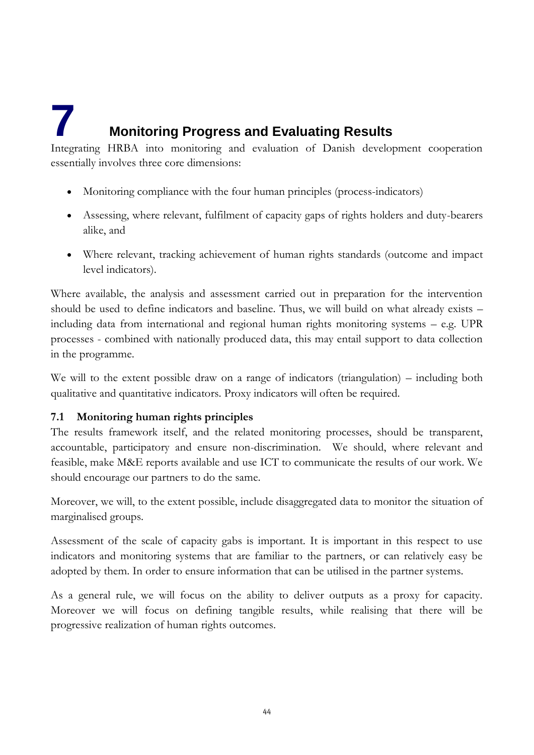# <span id="page-44-0"></span>**7 Monitoring Progress and Evaluating Results**

Integrating HRBA into monitoring and evaluation of Danish development cooperation essentially involves three core dimensions:

- Monitoring compliance with the four human principles (process-indicators)
- Assessing, where relevant, fulfilment of capacity gaps of rights holders and duty-bearers alike, and
- Where relevant, tracking achievement of human rights standards (outcome and impact level indicators).

Where available, the analysis and assessment carried out in preparation for the intervention should be used to define indicators and baseline. Thus, we will build on what already exists – including data from international and regional human rights monitoring systems – e.g. UPR processes - combined with nationally produced data, this may entail support to data collection in the programme.

We will to the extent possible draw on a range of indicators (triangulation) – including both qualitative and quantitative indicators. Proxy indicators will often be required.

#### **7.1 Monitoring human rights principles**

The results framework itself, and the related monitoring processes, should be transparent, accountable, participatory and ensure non-discrimination. We should, where relevant and feasible, make M&E reports available and use ICT to communicate the results of our work. We should encourage our partners to do the same.

Moreover, we will, to the extent possible, include disaggregated data to monitor the situation of marginalised groups.

Assessment of the scale of capacity gabs is important. It is important in this respect to use indicators and monitoring systems that are familiar to the partners, or can relatively easy be adopted by them. In order to ensure information that can be utilised in the partner systems.

As a general rule, we will focus on the ability to deliver outputs as a proxy for capacity. Moreover we will focus on defining tangible results, while realising that there will be progressive realization of human rights outcomes.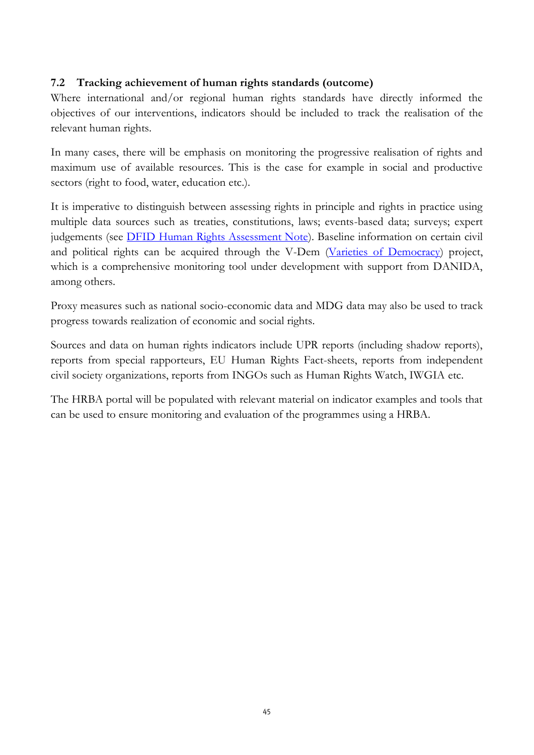#### **7.2 Tracking achievement of human rights standards (outcome)**

Where international and/or regional human rights standards have directly informed the objectives of our interventions, indicators should be included to track the realisation of the relevant human rights.

In many cases, there will be emphasis on monitoring the progressive realisation of rights and maximum use of available resources. This is the case for example in social and productive sectors (right to food, water, education etc.).

It is imperative to distinguish between assessing rights in principle and rights in practice using multiple data sources such as treaties, constitutions, laws; events-based data; surveys; expert judgements (see **DFID Human Rights Assessment Note**). Baseline information on certain civil and political rights can be acquired through the V-Dem [\(Varieties of Democracy\)](http://www.v-dem.net/) project, which is a comprehensive monitoring tool under development with support from DANIDA, among others.

Proxy measures such as national socio-economic data and MDG data may also be used to track progress towards realization of economic and social rights.

Sources and data on human rights indicators include UPR reports (including shadow reports), reports from special rapporteurs, EU Human Rights Fact-sheets, reports from independent civil society organizations, reports from INGOs such as Human Rights Watch, IWGIA etc.

The HRBA portal will be populated with relevant material on indicator examples and tools that can be used to ensure monitoring and evaluation of the programmes using a HRBA.